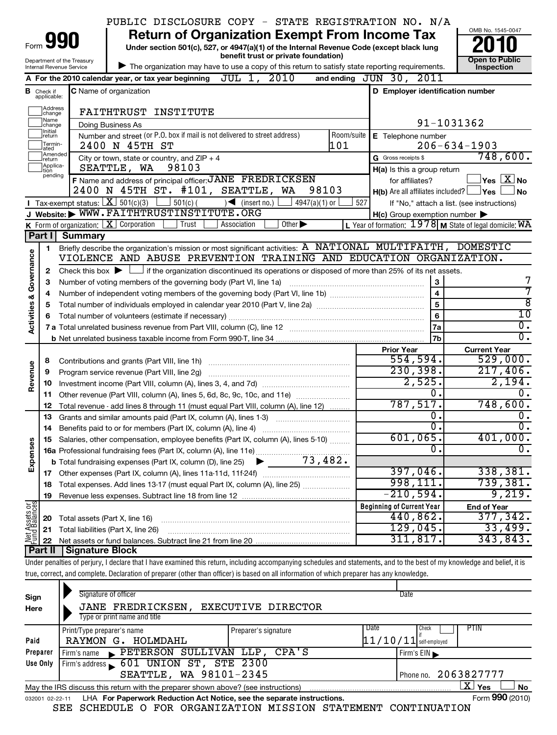|                                |                                  | PUBLIC DISCLOSURE COPY - STATE REGISTRATION NO. N/A                                                                                                                                                              |                                                    |            |                                                     |                                                           |
|--------------------------------|----------------------------------|------------------------------------------------------------------------------------------------------------------------------------------------------------------------------------------------------------------|----------------------------------------------------|------------|-----------------------------------------------------|-----------------------------------------------------------|
|                                |                                  | <b>Return of Organization Exempt From Income Tax</b>                                                                                                                                                             |                                                    |            |                                                     | OMB No. 1545-0047                                         |
| Form                           | 991                              | Under section 501(c), 527, or 4947(a)(1) of the Internal Revenue Code (except black lung                                                                                                                         |                                                    |            |                                                     |                                                           |
|                                |                                  | Department of the Treasury                                                                                                                                                                                       | benefit trust or private foundation)               |            |                                                     | <b>Open to Public</b>                                     |
|                                |                                  | The organization may have to use a copy of this return to satisfy state reporting requirements.<br><b>Internal Revenue Service</b>                                                                               |                                                    |            |                                                     | Inspection                                                |
|                                |                                  | A For the 2010 calendar year, or tax year beginning                                                                                                                                                              | JUL 1, 2010                                        |            | and ending JUN 30, 2011                             |                                                           |
|                                | <b>B</b> Check if<br>applicable: | <b>C</b> Name of organization                                                                                                                                                                                    |                                                    |            | D Employer identification number                    |                                                           |
|                                |                                  |                                                                                                                                                                                                                  |                                                    |            |                                                     |                                                           |
|                                | <b>Address</b><br>change         | FAITHTRUST INSTITUTE                                                                                                                                                                                             |                                                    |            |                                                     |                                                           |
|                                | <b>Name</b><br> change           | Doing Business As                                                                                                                                                                                                |                                                    |            |                                                     | 91-1031362                                                |
|                                | Ilnitial<br>∣return              | Number and street (or P.O. box if mail is not delivered to street address)                                                                                                                                       |                                                    | Room/suite | E Telephone number                                  |                                                           |
|                                | Termin-<br>lated                 | 2400 N 45TH ST                                                                                                                                                                                                   |                                                    | l101       |                                                     | $206 - 634 - 1903$                                        |
|                                | Amended<br>Ireturn               | City or town, state or country, and $ZIP + 4$                                                                                                                                                                    |                                                    |            | G Gross receipts \$                                 | 748,600.                                                  |
|                                | Applica-<br>tion<br>pending      | SEATTLE, WA<br>98103                                                                                                                                                                                             |                                                    |            | $H(a)$ is this a group return                       |                                                           |
|                                |                                  | F Name and address of principal officer: JANE FREDRICKSEN                                                                                                                                                        |                                                    |            | for affiliates?                                     | $\log$ $\boxed{\text{X}}$ No                              |
|                                |                                  | 2400 N 45TH ST. #101, SEATTLE, WA                                                                                                                                                                                | 98103                                              |            | $H(b)$ Are all affiliates included? $\Box$ Yes      | No                                                        |
|                                |                                  | Tax-exempt status: $X \ 501(c)(3)$<br>$501(c)$ (                                                                                                                                                                 | $\sqrt{\frac{1}{1}}$ (insert no.)<br>4947(a)(1) or | 527        |                                                     | If "No," attach a list. (see instructions)                |
|                                |                                  | J Website: WWW.FAITHTRUSTINSTITUTE.ORG                                                                                                                                                                           |                                                    |            | $H(c)$ Group exemption number $\blacktriangleright$ |                                                           |
|                                |                                  | <b>K</b> Form of organization: $X$ Corporation<br>Trust                                                                                                                                                          | Association<br>Other $\blacktriangleright$         |            |                                                     | L Year of formation: $1978$ M State of legal domicile: WA |
|                                | Part I                           | <b>Summary</b>                                                                                                                                                                                                   |                                                    |            |                                                     |                                                           |
|                                | 1.                               | Briefly describe the organization's mission or most significant activities: A NATIONAL MULTIFAITH, DOMESTIC<br>VIOLENCE AND ABUSE PREVENTION TRAINING AND EDUCATION ORGANIZATION.                                |                                                    |            |                                                     |                                                           |
| Activities & Governance        |                                  |                                                                                                                                                                                                                  |                                                    |            |                                                     |                                                           |
|                                | 2                                | Check this box $\blacktriangleright$ $\Box$ if the organization discontinued its operations or disposed of more than 25% of its net assets.<br>Number of voting members of the governing body (Part VI, line 1a) |                                                    |            | 3                                                   | 7                                                         |
|                                | 3                                |                                                                                                                                                                                                                  |                                                    |            | $\overline{4}$                                      | 7                                                         |
|                                | 4<br>5                           |                                                                                                                                                                                                                  |                                                    |            | 5                                                   | $\overline{\bf 8}$                                        |
|                                | 6                                |                                                                                                                                                                                                                  |                                                    |            | $6\phantom{a}$                                      | 10                                                        |
|                                |                                  |                                                                                                                                                                                                                  |                                                    |            | 7a                                                  | $\overline{0}$ .                                          |
|                                |                                  |                                                                                                                                                                                                                  |                                                    |            | 7b                                                  | 0.                                                        |
|                                |                                  |                                                                                                                                                                                                                  |                                                    |            | <b>Prior Year</b>                                   | <b>Current Year</b>                                       |
|                                | 8                                |                                                                                                                                                                                                                  |                                                    |            | 554,594.                                            | 529,000.                                                  |
| Revenue                        | 9                                | Program service revenue (Part VIII, line 2g)                                                                                                                                                                     |                                                    |            | 230,398.                                            | 217,406.                                                  |
|                                | 10                               |                                                                                                                                                                                                                  |                                                    |            | 2,525.                                              | 2,194.                                                    |
|                                | 11                               | Other revenue (Part VIII, column (A), lines 5, 6d, 8c, 9c, 10c, and 11e)                                                                                                                                         |                                                    |            | $\mathbf 0$ .                                       | 0.                                                        |
|                                | 12                               | Total revenue - add lines 8 through 11 (must equal Part VIII, column (A), line 12)                                                                                                                               |                                                    |            | 787,517.                                            | 748,600.                                                  |
|                                | 13                               | Grants and similar amounts paid (Part IX, column (A), lines 1-3)                                                                                                                                                 |                                                    |            | 0.                                                  | 0.                                                        |
|                                |                                  |                                                                                                                                                                                                                  |                                                    |            | σ.                                                  | σ.                                                        |
|                                |                                  | Salaries, other compensation, employee benefits (Part IX, column (A), lines 5-10)                                                                                                                                |                                                    |            | 601,065.                                            | 401,000.                                                  |
|                                |                                  |                                                                                                                                                                                                                  |                                                    |            | $\Omega$ .                                          | Ο.                                                        |
| Expenses                       |                                  | <b>b</b> Total fundraising expenses (Part IX, column (D), line 25)                                                                                                                                               | 73,482.                                            |            |                                                     |                                                           |
|                                |                                  |                                                                                                                                                                                                                  |                                                    |            | 397,046.                                            | 338,381.                                                  |
|                                | 18                               | Total expenses. Add lines 13-17 (must equal Part IX, column (A), line 25)                                                                                                                                        |                                                    |            | 998,111.                                            | 739,381.                                                  |
|                                | 19                               |                                                                                                                                                                                                                  |                                                    |            | $-210,594.$                                         | 9,219.                                                    |
| Net Assets or<br>Fund Balances |                                  |                                                                                                                                                                                                                  |                                                    |            | <b>Beginning of Current Year</b>                    | <b>End of Year</b>                                        |
|                                | 20                               | Total assets (Part X, line 16)                                                                                                                                                                                   |                                                    |            | 440,862.                                            | 377, 342.                                                 |
|                                | 21                               | Total liabilities (Part X, line 26)                                                                                                                                                                              |                                                    |            | 129,045.                                            | 33,499.                                                   |
|                                | 22                               | <b>Signature Block</b>                                                                                                                                                                                           |                                                    |            | 311,817.                                            | 343,843.                                                  |
|                                | Part II                          | Under penalties of perjury, I declare that I have examined this return, including accompanying schedules and statements, and to the best of my knowledge and belief, it is                                       |                                                    |            |                                                     |                                                           |
|                                |                                  | true, correct, and complete. Declaration of preparer (other than officer) is based on all information of which preparer has any knowledge.                                                                       |                                                    |            |                                                     |                                                           |
|                                |                                  |                                                                                                                                                                                                                  |                                                    |            |                                                     |                                                           |
| Sign                           |                                  | Signature of officer                                                                                                                                                                                             |                                                    |            | Date                                                |                                                           |
| Here                           |                                  | JANE FREDRICKSEN, EXECUTIVE DIRECTOR                                                                                                                                                                             |                                                    |            |                                                     |                                                           |
|                                |                                  | Type or print name and title                                                                                                                                                                                     |                                                    |            |                                                     |                                                           |
|                                |                                  | Print/Type preparer's name                                                                                                                                                                                       | Preparer's signature                               |            | Date<br>Check                                       | <b>PTIN</b>                                               |
| Paid                           |                                  | RAYMON G. HOLMDAHL                                                                                                                                                                                               |                                                    |            | $11/10/11$ self-employed                            |                                                           |
|                                | Preparer                         | PETERSON SULLIVAN LLP, CPA'S<br>Firm's name                                                                                                                                                                      |                                                    |            | Firm's EIN                                          |                                                           |
|                                | Use Only                         | Firm's address 601 UNION ST, STE 2300                                                                                                                                                                            |                                                    |            |                                                     |                                                           |
|                                |                                  | SEATTLE, WA 98101-2345                                                                                                                                                                                           |                                                    |            |                                                     |                                                           |

|  | May the IRS discuss this return with the preparer shown above? (see instructions)      | ᠂▲ ・ | Yes             | <sup>∣</sup> No |
|--|----------------------------------------------------------------------------------------|------|-----------------|-----------------|
|  | 032001 02-22-11 LHA For Paperwork Reduction Act Notice, see the separate instructions. |      | Form 990 (2010) |                 |

| $\lfloor X \rfloor$ Yes $\lfloor \rfloor$ No |  |
|----------------------------------------------|--|
| Form 990 (2010)                              |  |

Phone no. 2063827777

SEE SCHEDULE O FOR ORGANIZATION MISSION STATEMENT CONTINUATION

SEATTLE, WA 98101-2345 | Phone no. 2063827777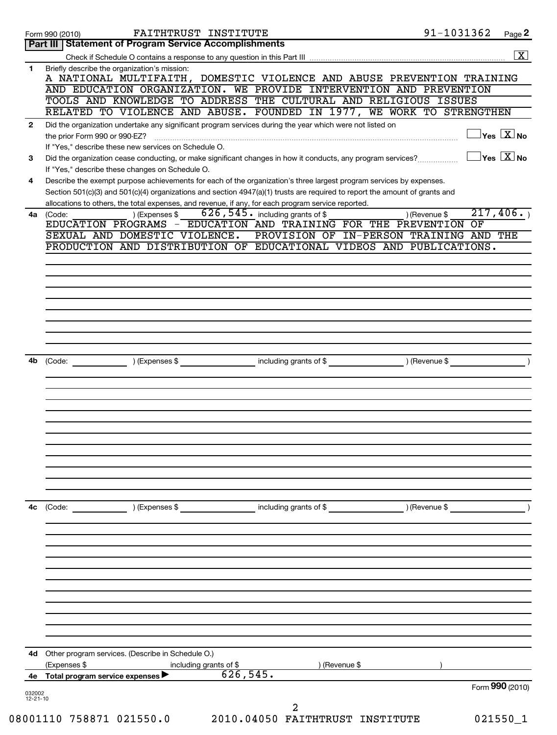| 4d Other program services. (Describe in Schedule O.)<br>(Expenses \$<br>including grants of \$<br>) (Revenue \$<br>626, 545.<br>4e Total program service expenses<br>Form 990 (2010)<br>032002 |        |
|------------------------------------------------------------------------------------------------------------------------------------------------------------------------------------------------|--------|
|                                                                                                                                                                                                |        |
|                                                                                                                                                                                                |        |
|                                                                                                                                                                                                |        |
|                                                                                                                                                                                                |        |
|                                                                                                                                                                                                |        |
|                                                                                                                                                                                                |        |
|                                                                                                                                                                                                |        |
|                                                                                                                                                                                                |        |
|                                                                                                                                                                                                |        |
|                                                                                                                                                                                                |        |
| including grants of \$<br>) (Expenses \$<br>$($ Revenue $\$$<br>4с<br>(Code:                                                                                                                   |        |
|                                                                                                                                                                                                |        |
|                                                                                                                                                                                                |        |
|                                                                                                                                                                                                |        |
|                                                                                                                                                                                                |        |
|                                                                                                                                                                                                |        |
|                                                                                                                                                                                                |        |
|                                                                                                                                                                                                |        |
|                                                                                                                                                                                                |        |
| (Expenses \$ including grants of \$ ) (Revenue \$<br>4b<br>(Code: ______                                                                                                                       |        |
|                                                                                                                                                                                                |        |
|                                                                                                                                                                                                |        |
|                                                                                                                                                                                                |        |
|                                                                                                                                                                                                |        |
|                                                                                                                                                                                                |        |
|                                                                                                                                                                                                |        |
| PRODUCTION AND DISTRIBUTION OF EDUCATIONAL VIDEOS AND PUBLICATIONS.                                                                                                                            |        |
| SEXUAL AND DOMESTIC VIOLENCE.<br>PROVISION OF IN-PERSON TRAINING AND THE                                                                                                                       |        |
| ) (Expenses \$<br>) (Revenue \$<br>4a (Code:<br>EDUCATION PROGRAMS - EDUCATION AND TRAINING FOR THE PREVENTION<br>OF                                                                           |        |
| allocations to others, the total expenses, and revenue, if any, for each program service reported.<br>217,406.<br>$626, 545$ $\cdot$ including grants of \$                                    |        |
| Section 501(c)(3) and 501(c)(4) organizations and section 4947(a)(1) trusts are required to report the amount of grants and                                                                    |        |
| If "Yes," describe these changes on Schedule O.<br>Describe the exempt purpose achievements for each of the organization's three largest program services by expenses.<br>4                    |        |
| $\Box$ Yes $[\overline{\mathrm{X}}]$ No<br>Did the organization cease conducting, or make significant changes in how it conducts, any program services?<br>3                                   |        |
| If "Yes," describe these new services on Schedule O.                                                                                                                                           |        |
| Did the organization undertake any significant program services during the year which were not listed on<br>$\mathbf{2}$<br>$\Box$ Yes $\Box X$ No<br>the prior Form 990 or 990-EZ?            |        |
| RELATED TO VIOLENCE AND ABUSE. FOUNDED IN 1977, WE WORK TO STRENGTHEN                                                                                                                          |        |
| TOOLS AND KNOWLEDGE TO ADDRESS THE CULTURAL AND RELIGIOUS ISSUES                                                                                                                               |        |
| A NATIONAL MULTIFAITH, DOMESTIC VIOLENCE AND ABUSE PREVENTION TRAINING<br>AND EDUCATION ORGANIZATION. WE PROVIDE INTERVENTION AND PREVENTION                                                   |        |
| Briefly describe the organization's mission:<br>1                                                                                                                                              |        |
| <b>Part III   Statement of Program Service Accomplishments</b>                                                                                                                                 |        |
| 91-1031362<br>FAITHTRUST INSTITUTE<br>Form 990 (2010)                                                                                                                                          | Page 2 |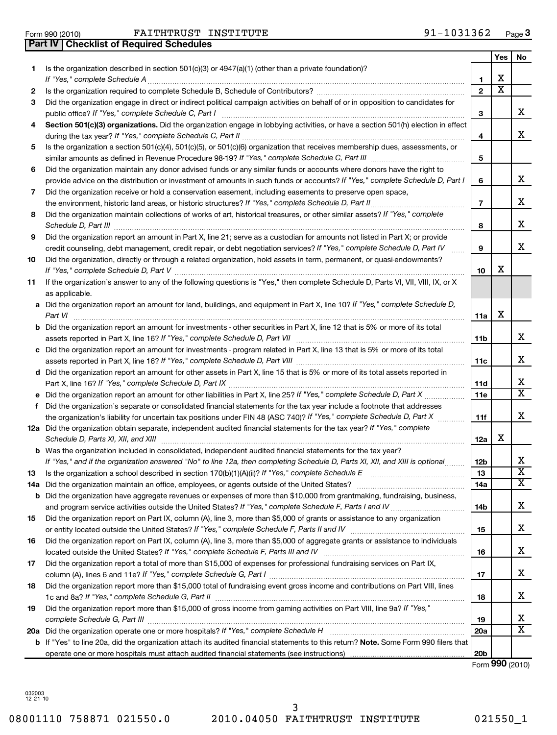3

| Form 990 (2010)                                  | FAITHTRUST INSTITUTE | 91-1031362 | Page |
|--------------------------------------------------|----------------------|------------|------|
| <b>Part IV   Checklist of Required Schedules</b> |                      |            |      |

|     |                                                                                                                                                                                                                                      |                          | Yes                   | No                      |
|-----|--------------------------------------------------------------------------------------------------------------------------------------------------------------------------------------------------------------------------------------|--------------------------|-----------------------|-------------------------|
| 1   | Is the organization described in section 501(c)(3) or 4947(a)(1) (other than a private foundation)?<br>If "Yes," complete Schedule A                                                                                                 | 1                        | х                     |                         |
| 2   |                                                                                                                                                                                                                                      | $\mathbf{2}$             | $\overline{\text{x}}$ |                         |
| 3   | Did the organization engage in direct or indirect political campaign activities on behalf of or in opposition to candidates for<br>public office? If "Yes," complete Schedule C, Part I                                              | З                        |                       | x                       |
| 4   | Section 501(c)(3) organizations. Did the organization engage in lobbying activities, or have a section 501(h) election in effect                                                                                                     |                          |                       |                         |
|     |                                                                                                                                                                                                                                      | 4                        |                       | x                       |
| 5   | Is the organization a section 501(c)(4), 501(c)(5), or 501(c)(6) organization that receives membership dues, assessments, or                                                                                                         |                          |                       |                         |
|     |                                                                                                                                                                                                                                      | 5                        |                       |                         |
| 6   | Did the organization maintain any donor advised funds or any similar funds or accounts where donors have the right to                                                                                                                |                          |                       | x                       |
|     | provide advice on the distribution or investment of amounts in such funds or accounts? If "Yes," complete Schedule D, Part I                                                                                                         | 6                        |                       |                         |
| 7   | Did the organization receive or hold a conservation easement, including easements to preserve open space,                                                                                                                            | $\overline{\phantom{a}}$ |                       | x                       |
| 8   | the environment, historic land areas, or historic structures? If "Yes," complete Schedule D, Part II<br>Did the organization maintain collections of works of art, historical treasures, or other similar assets? If "Yes," complete |                          |                       |                         |
|     | Schedule D, Part III                                                                                                                                                                                                                 | 8                        |                       | x                       |
| 9   | Did the organization report an amount in Part X, line 21; serve as a custodian for amounts not listed in Part X; or provide                                                                                                          |                          |                       |                         |
|     | credit counseling, debt management, credit repair, or debt negotiation services? If "Yes," complete Schedule D, Part IV                                                                                                              | 9                        |                       | x                       |
| 10  | Did the organization, directly or through a related organization, hold assets in term, permanent, or quasi-endowments?<br>If "Yes," complete Schedule D, Part V                                                                      | 10                       | x                     |                         |
| 11  | If the organization's answer to any of the following questions is "Yes," then complete Schedule D, Parts VI, VII, VIII, IX, or X                                                                                                     |                          |                       |                         |
|     | as applicable.                                                                                                                                                                                                                       |                          |                       |                         |
|     | a Did the organization report an amount for land, buildings, and equipment in Part X, line 10? If "Yes," complete Schedule D,                                                                                                        |                          |                       |                         |
|     | Part VI                                                                                                                                                                                                                              | 11a                      | х                     |                         |
|     | <b>b</b> Did the organization report an amount for investments - other securities in Part X, line 12 that is 5% or more of its total                                                                                                 |                          |                       |                         |
|     |                                                                                                                                                                                                                                      | 11b                      |                       | x                       |
| c   | Did the organization report an amount for investments - program related in Part X, line 13 that is 5% or more of its total                                                                                                           |                          |                       | x                       |
|     | assets reported in Part X, line 16? If "Yes," complete Schedule D, Part VIII [111] [11] [11] [11] [11] [11] [1                                                                                                                       | 11c                      |                       |                         |
|     | d Did the organization report an amount for other assets in Part X, line 15 that is 5% or more of its total assets reported in                                                                                                       | 11d                      |                       | X                       |
|     | Did the organization report an amount for other liabilities in Part X, line 25? If "Yes," complete Schedule D, Part X                                                                                                                | <b>11e</b>               |                       | $\overline{\text{x}}$   |
| f   | Did the organization's separate or consolidated financial statements for the tax year include a footnote that addresses                                                                                                              |                          |                       |                         |
|     | the organization's liability for uncertain tax positions under FIN 48 (ASC 740)? If "Yes," complete Schedule D, Part X                                                                                                               | 11f                      |                       | x                       |
|     | 12a Did the organization obtain separate, independent audited financial statements for the tax year? If "Yes," complete                                                                                                              |                          |                       |                         |
|     | Schedule D, Parts XI, XII, and XIII                                                                                                                                                                                                  | 12a                      | х                     |                         |
|     | Was the organization included in consolidated, independent audited financial statements for the tax year?                                                                                                                            |                          |                       |                         |
|     | If "Yes," and if the organization answered "No" to line 12a, then completing Schedule D, Parts XI, XII, and XIII is optional                                                                                                         | 12b                      |                       | х                       |
| 13  | Is the organization a school described in section 170(b)(1)(A)(ii)? If "Yes," complete Schedule E                                                                                                                                    | 13                       |                       | $\overline{\mathtt{x}}$ |
| 14a | Did the organization maintain an office, employees, or agents outside of the United States?                                                                                                                                          | 14a                      |                       | $\overline{\textbf{x}}$ |
| b   | Did the organization have aggregate revenues or expenses of more than \$10,000 from grantmaking, fundraising, business,                                                                                                              |                          |                       |                         |
|     |                                                                                                                                                                                                                                      | 14b                      |                       | x                       |
| 15  | Did the organization report on Part IX, column (A), line 3, more than \$5,000 of grants or assistance to any organization                                                                                                            |                          |                       |                         |
|     |                                                                                                                                                                                                                                      | 15                       |                       | х                       |
| 16  | Did the organization report on Part IX, column (A), line 3, more than \$5,000 of aggregate grants or assistance to individuals                                                                                                       |                          |                       |                         |
|     |                                                                                                                                                                                                                                      | 16                       |                       | х                       |
| 17  | Did the organization report a total of more than \$15,000 of expenses for professional fundraising services on Part IX,                                                                                                              |                          |                       | х                       |
|     | Did the organization report more than \$15,000 total of fundraising event gross income and contributions on Part VIII, lines                                                                                                         | 17                       |                       |                         |
| 18  |                                                                                                                                                                                                                                      | 18                       |                       | х                       |
| 19  | Did the organization report more than \$15,000 of gross income from gaming activities on Part VIII, line 9a? If "Yes,"                                                                                                               |                          |                       |                         |
|     | complete Schedule G, Part III                                                                                                                                                                                                        | 19                       |                       | х                       |
| 20a | Did the organization operate one or more hospitals? If "Yes," complete Schedule H                                                                                                                                                    | <b>20a</b>               |                       | $\overline{\textbf{x}}$ |
|     | b If "Yes" to line 20a, did the organization attach its audited financial statements to this return? Note. Some Form 990 filers that                                                                                                 |                          |                       |                         |
|     |                                                                                                                                                                                                                                      | 20b                      |                       |                         |

Form (2010) **990**

032003 12-21-10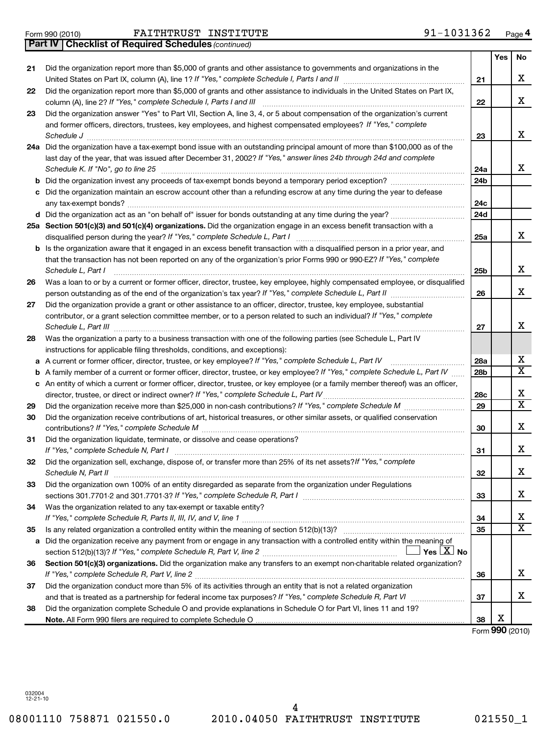08001110 758871 021550.0 2010.04050 FAITHTRUST INSTITUTE 021550\_1 4

## *(continued)* **Part IV Checklist of Required Schedules** Form 990 (2010) **FAITHTRUST INSTITUTE** 91-1031362 Page

|     |                                                                                                                                                                                                                                                                        |                 | Yes | No                      |
|-----|------------------------------------------------------------------------------------------------------------------------------------------------------------------------------------------------------------------------------------------------------------------------|-----------------|-----|-------------------------|
| 21  | Did the organization report more than \$5,000 of grants and other assistance to governments and organizations in the                                                                                                                                                   |                 |     | х                       |
|     | United States on Part IX, column (A), line 1? If "Yes," complete Schedule I, Parts I and II                                                                                                                                                                            | 21              |     |                         |
| 22  | Did the organization report more than \$5,000 of grants and other assistance to individuals in the United States on Part IX,<br>column (A), line 2? If "Yes," complete Schedule I, Parts I and III                                                                     | 22              |     | x                       |
| 23  | Did the organization answer "Yes" to Part VII, Section A, line 3, 4, or 5 about compensation of the organization's current                                                                                                                                             |                 |     |                         |
|     | and former officers, directors, trustees, key employees, and highest compensated employees? If "Yes," complete<br>Schedule J                                                                                                                                           | 23              |     | x                       |
| 24a | Did the organization have a tax-exempt bond issue with an outstanding principal amount of more than \$100,000 as of the                                                                                                                                                |                 |     |                         |
|     | last day of the year, that was issued after December 31, 2002? If "Yes," answer lines 24b through 24d and complete<br>Schedule K. If "No", go to line 25                                                                                                               | 24a             |     | x                       |
| b   |                                                                                                                                                                                                                                                                        | 24b             |     |                         |
|     | Did the organization maintain an escrow account other than a refunding escrow at any time during the year to defease                                                                                                                                                   |                 |     |                         |
|     |                                                                                                                                                                                                                                                                        | 24c             |     |                         |
|     |                                                                                                                                                                                                                                                                        | 24d             |     |                         |
|     | 25a Section 501(c)(3) and 501(c)(4) organizations. Did the organization engage in an excess benefit transaction with a<br>disqualified person during the year? If "Yes," complete Schedule L, Part I                                                                   | 25a             |     | х                       |
|     | <b>b</b> Is the organization aware that it engaged in an excess benefit transaction with a disqualified person in a prior year, and                                                                                                                                    |                 |     |                         |
|     | that the transaction has not been reported on any of the organization's prior Forms 990 or 990-EZ? If "Yes," complete<br>Schedule L, Part I                                                                                                                            | 25b             |     | х                       |
| 26  | Was a loan to or by a current or former officer, director, trustee, key employee, highly compensated employee, or disqualified                                                                                                                                         |                 |     |                         |
|     |                                                                                                                                                                                                                                                                        | 26              |     | x                       |
| 27  | Did the organization provide a grant or other assistance to an officer, director, trustee, key employee, substantial                                                                                                                                                   |                 |     |                         |
|     | contributor, or a grant selection committee member, or to a person related to such an individual? If "Yes," complete                                                                                                                                                   |                 |     |                         |
|     | Schedule L, Part III                                                                                                                                                                                                                                                   | 27              |     | x                       |
| 28  | Was the organization a party to a business transaction with one of the following parties (see Schedule L, Part IV                                                                                                                                                      |                 |     |                         |
|     | instructions for applicable filing thresholds, conditions, and exceptions):                                                                                                                                                                                            |                 |     |                         |
| а   | A current or former officer, director, trustee, or key employee? If "Yes," complete Schedule L, Part IV                                                                                                                                                                | 28a             |     | х                       |
| b   | A family member of a current or former officer, director, trustee, or key employee? If "Yes," complete Schedule L, Part IV                                                                                                                                             | 28b             |     | $\overline{\textbf{X}}$ |
| С   | An entity of which a current or former officer, director, trustee, or key employee (or a family member thereof) was an officer,                                                                                                                                        |                 |     |                         |
|     | director, trustee, or direct or indirect owner? If "Yes," complete Schedule L, Part IV                                                                                                                                                                                 | 28c             |     | х<br>X                  |
| 29  |                                                                                                                                                                                                                                                                        | 29              |     |                         |
| 30  | Did the organization receive contributions of art, historical treasures, or other similar assets, or qualified conservation<br>contributions? If "Yes," complete Schedule M                                                                                            |                 |     | х                       |
|     |                                                                                                                                                                                                                                                                        | 30              |     |                         |
| 31  | Did the organization liquidate, terminate, or dissolve and cease operations?<br>If "Yes," complete Schedule N, Part I                                                                                                                                                  | 31              |     | х                       |
| 32  | Did the organization sell, exchange, dispose of, or transfer more than 25% of its net assets? If "Yes," complete                                                                                                                                                       |                 |     |                         |
|     | Schedule N, Part II <u>www.communication.communication.communication.communication.com</u>                                                                                                                                                                             | 32              |     | х                       |
| 33  | Did the organization own 100% of an entity disregarded as separate from the organization under Regulations                                                                                                                                                             |                 |     |                         |
|     |                                                                                                                                                                                                                                                                        | 33              |     | х                       |
| 34  | Was the organization related to any tax-exempt or taxable entity?                                                                                                                                                                                                      | 34              |     | x                       |
| 35  |                                                                                                                                                                                                                                                                        | 35              |     | $\overline{\textbf{x}}$ |
| a   | Did the organization receive any payment from or engage in any transaction with a controlled entity within the meaning of<br>section 512(b)(13)? If "Yes," complete Schedule R, Part V, line 2 $\ldots$ $\ldots$ $\ldots$ $\ldots$ $\ldots$ Yes $\lfloor X \rfloor$ No |                 |     |                         |
| 36  | Section 501(c)(3) organizations. Did the organization make any transfers to an exempt non-charitable related organization?                                                                                                                                             |                 |     |                         |
|     |                                                                                                                                                                                                                                                                        | 36              |     | x                       |
| 37  | Did the organization conduct more than 5% of its activities through an entity that is not a related organization                                                                                                                                                       |                 |     |                         |
|     |                                                                                                                                                                                                                                                                        | 37              |     | х                       |
| 38  | Did the organization complete Schedule O and provide explanations in Schedule O for Part VI, lines 11 and 19?                                                                                                                                                          |                 |     |                         |
|     |                                                                                                                                                                                                                                                                        | 38              | х   |                         |
|     |                                                                                                                                                                                                                                                                        | Form 990 (2010) |     |                         |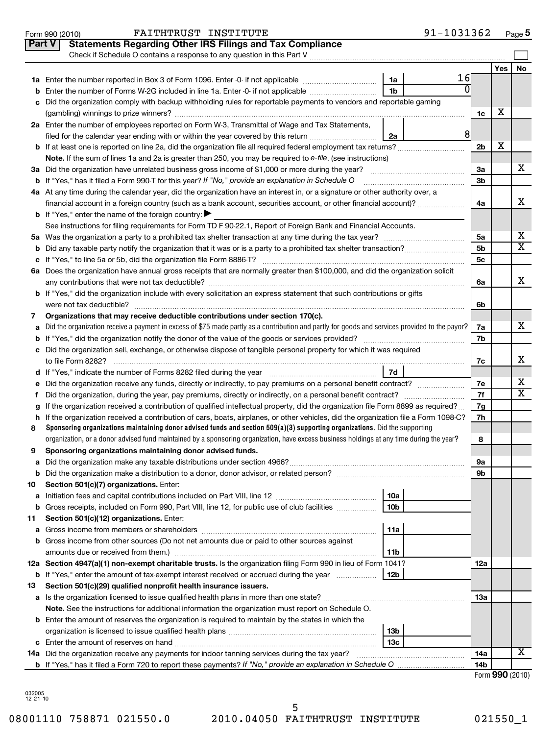|               | 91-1031362<br>FAITHTRUST INSTITUTE<br>Form 990 (2010)                                                                                                                                                                                                                    |                |     | Page 5 |
|---------------|--------------------------------------------------------------------------------------------------------------------------------------------------------------------------------------------------------------------------------------------------------------------------|----------------|-----|--------|
| <b>Part V</b> | <b>Statements Regarding Other IRS Filings and Tax Compliance</b>                                                                                                                                                                                                         |                |     |        |
|               | Check if Schedule O contains a response to any question in this Part V                                                                                                                                                                                                   |                |     |        |
|               |                                                                                                                                                                                                                                                                          |                | Yes | No     |
|               | 16<br>1a Enter the number reported in Box 3 of Form 1096. Enter -0- if not applicable<br>1a                                                                                                                                                                              |                |     |        |
| b             | <sup>0</sup><br>Enter the number of Forms W-2G included in line 1a. Enter -0- if not applicable<br>1b                                                                                                                                                                    |                |     |        |
| c             | Did the organization comply with backup withholding rules for reportable payments to vendors and reportable gaming                                                                                                                                                       |                |     |        |
|               |                                                                                                                                                                                                                                                                          | 1c             | х   |        |
|               | 2a Enter the number of employees reported on Form W-3, Transmittal of Wage and Tax Statements,                                                                                                                                                                           |                |     |        |
|               | 8 <sup>1</sup><br>filed for the calendar year ending with or within the year covered by this return <i></i><br>2a                                                                                                                                                        |                |     |        |
|               | <b>b</b> If at least one is reported on line 2a, did the organization file all required federal employment tax returns?                                                                                                                                                  | 2 <sub>b</sub> | х   |        |
|               | Note. If the sum of lines 1a and 2a is greater than 250, you may be required to e-file, (see instructions)                                                                                                                                                               |                |     |        |
|               | 3a Did the organization have unrelated business gross income of \$1,000 or more during the year?                                                                                                                                                                         | За             |     | x      |
|               | <b>b</b> If "Yes," has it filed a Form 990-T for this year? If "No," provide an explanation in Schedule O                                                                                                                                                                | 3b             |     |        |
|               | 4a At any time during the calendar year, did the organization have an interest in, or a signature or other authority over, a                                                                                                                                             |                |     |        |
|               | financial account in a foreign country (such as a bank account, securities account, or other financial account)?                                                                                                                                                         | 4a             |     | х      |
|               | <b>b</b> If "Yes," enter the name of the foreign country:                                                                                                                                                                                                                |                |     |        |
|               | See instructions for filing requirements for Form TD F 90-22.1, Report of Foreign Bank and Financial Accounts.                                                                                                                                                           |                |     |        |
|               |                                                                                                                                                                                                                                                                          | 5a             |     | х      |
|               |                                                                                                                                                                                                                                                                          | 5b             |     | x      |
|               |                                                                                                                                                                                                                                                                          | 5c             |     |        |
|               | 6a Does the organization have annual gross receipts that are normally greater than \$100,000, and did the organization solicit                                                                                                                                           |                |     |        |
|               |                                                                                                                                                                                                                                                                          | 6a             |     | x      |
|               | <b>b</b> If "Yes," did the organization include with every solicitation an express statement that such contributions or gifts                                                                                                                                            |                |     |        |
|               | were not tax deductible?                                                                                                                                                                                                                                                 | 6b             |     |        |
| 7             | Organizations that may receive deductible contributions under section 170(c).                                                                                                                                                                                            |                |     |        |
| a             | Did the organization receive a payment in excess of \$75 made partly as a contribution and partly for goods and services provided to the payor?                                                                                                                          | 7a             |     | x      |
|               |                                                                                                                                                                                                                                                                          | 7b             |     |        |
|               | c Did the organization sell, exchange, or otherwise dispose of tangible personal property for which it was required                                                                                                                                                      |                |     | x      |
|               | to file Form 8282?                                                                                                                                                                                                                                                       | 7с             |     |        |
|               |                                                                                                                                                                                                                                                                          |                |     | х      |
| е             |                                                                                                                                                                                                                                                                          | 7e<br>7f       |     | х      |
| f             |                                                                                                                                                                                                                                                                          |                |     |        |
| g             | If the organization received a contribution of qualified intellectual property, did the organization file Form 8899 as required?<br>h If the organization received a contribution of cars, boats, airplanes, or other vehicles, did the organization file a Form 1098-C? | 7g             |     |        |
| 8             | Sponsoring organizations maintaining donor advised funds and section 509(a)(3) supporting organizations. Did the supporting                                                                                                                                              | 7h             |     |        |
|               | organization, or a donor advised fund maintained by a sponsoring organization, have excess business holdings at any time during the year?                                                                                                                                | 8              |     |        |
| 9             | Sponsoring organizations maintaining donor advised funds.                                                                                                                                                                                                                |                |     |        |
|               |                                                                                                                                                                                                                                                                          | 9а             |     |        |
| а<br>b        |                                                                                                                                                                                                                                                                          | 9b             |     |        |
| 10            | Section 501(c)(7) organizations. Enter:                                                                                                                                                                                                                                  |                |     |        |
| а             | 10a                                                                                                                                                                                                                                                                      |                |     |        |
| b             | 10 <sub>b</sub><br>Gross receipts, included on Form 990, Part VIII, line 12, for public use of club facilities                                                                                                                                                           |                |     |        |
| 11            | Section 501(c)(12) organizations. Enter:                                                                                                                                                                                                                                 |                |     |        |
| а             | 11a                                                                                                                                                                                                                                                                      |                |     |        |
| b             | Gross income from other sources (Do not net amounts due or paid to other sources against                                                                                                                                                                                 |                |     |        |
|               | 11 <sub>b</sub>                                                                                                                                                                                                                                                          |                |     |        |
|               | 12a Section 4947(a)(1) non-exempt charitable trusts. Is the organization filing Form 990 in lieu of Form 1041?                                                                                                                                                           | 12a            |     |        |
|               | <b>b</b> If "Yes," enter the amount of tax-exempt interest received or accrued during the year<br>12b                                                                                                                                                                    |                |     |        |
| 13            | Section 501(c)(29) qualified nonprofit health insurance issuers.                                                                                                                                                                                                         |                |     |        |
|               |                                                                                                                                                                                                                                                                          | 13a            |     |        |
|               | Note. See the instructions for additional information the organization must report on Schedule O.                                                                                                                                                                        |                |     |        |
|               | <b>b</b> Enter the amount of reserves the organization is required to maintain by the states in which the                                                                                                                                                                |                |     |        |
|               | 13b                                                                                                                                                                                                                                                                      |                |     |        |
|               | 13с                                                                                                                                                                                                                                                                      |                |     |        |
|               | <b>14a</b> Did the organization receive any payments for indoor tanning services during the tax year?                                                                                                                                                                    | 14a            |     | х      |
|               |                                                                                                                                                                                                                                                                          | 14b            |     |        |
|               |                                                                                                                                                                                                                                                                          |                |     |        |

Form (2010) **990**

032005 12-21-10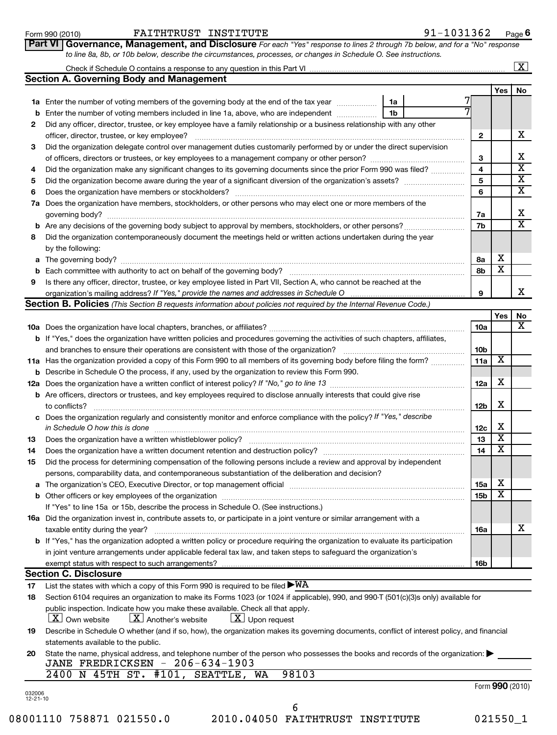| Form 990 (2010) |  |  |
|-----------------|--|--|
|-----------------|--|--|

| Form 990 (2010) | FAITHTRUST INSTITUTE | 91-1031362 | Page |
|-----------------|----------------------|------------|------|
|                 |                      |            |      |

**Part VI** Governance, Management, and Disclosure For each "Yes" response to lines 2 through 7b below, and for a "No" response *to line 8a, 8b, or 10b below, describe the circumstances, processes, or changes in Schedule O. See instructions.*

| Check if Schedule O contains a response to any question in this Part VI |  |
|-------------------------------------------------------------------------|--|
| <b>Section A. Governing Body and Management</b>                         |  |

|              |                                                                                                                            |    | Yes     | No. |  |  |  |
|--------------|----------------------------------------------------------------------------------------------------------------------------|----|---------|-----|--|--|--|
| 1a           | Enter the number of voting members of the governing body at the end of the tax year<br>1a                                  |    |         |     |  |  |  |
| b            | Enter the number of voting members included in line 1a, above, who are independent<br>1b                                   |    |         |     |  |  |  |
| $\mathbf{2}$ | Did any officer, director, trustee, or key employee have a family relationship or a business relationship with any other   |    |         |     |  |  |  |
|              | officer, director, trustee, or key employee?                                                                               | 2  |         | x   |  |  |  |
| 3            | Did the organization delegate control over management duties customarily performed by or under the direct supervision      |    |         |     |  |  |  |
|              |                                                                                                                            | 3  |         | x   |  |  |  |
| 4            | Did the organization make any significant changes to its governing documents since the prior Form 990 was filed?           | 4  |         | x   |  |  |  |
| 5            | Did the organization become aware during the year of a significant diversion of the organization's assets?                 | 5  |         | x   |  |  |  |
| 6            | Does the organization have members or stockholders?                                                                        | 6  |         | x   |  |  |  |
| 7a           | Does the organization have members, stockholders, or other persons who may elect one or more members of the                |    |         |     |  |  |  |
|              | governing body?                                                                                                            | 7a |         | х   |  |  |  |
|              |                                                                                                                            | 7b |         | X   |  |  |  |
| 8            | Did the organization contemporaneously document the meetings held or written actions undertaken during the year            |    |         |     |  |  |  |
|              | by the following:                                                                                                          |    |         |     |  |  |  |
| a            | The governing body?                                                                                                        | 8a | х       |     |  |  |  |
| b            | Each committee with authority to act on behalf of the governing body?                                                      | 8b | x       |     |  |  |  |
| 9            | Is there any officer, director, trustee, or key employee listed in Part VII, Section A, who cannot be reached at the       |    |         |     |  |  |  |
|              |                                                                                                                            | 9  |         | X   |  |  |  |
|              | <b>Section B. Policies</b> (This Section B requests information about policies not required by the Internal Revenue Code.) |    |         |     |  |  |  |
|              |                                                                                                                            |    | $V - -$ | AL. |  |  |  |

|                                                                                                                                                                                                                                |                 | Yes | No |
|--------------------------------------------------------------------------------------------------------------------------------------------------------------------------------------------------------------------------------|-----------------|-----|----|
|                                                                                                                                                                                                                                | 10a             |     | x  |
| <b>b</b> If "Yes," does the organization have written policies and procedures governing the activities of such chapters, affiliates,                                                                                           |                 |     |    |
| and branches to ensure their operations are consistent with those of the organization?                                                                                                                                         | 10 <sub>b</sub> |     |    |
| 11a Has the organization provided a copy of this Form 990 to all members of its governing body before filing the form?                                                                                                         | 11a             | X   |    |
| Describe in Schedule O the process, if any, used by the organization to review this Form 990.<br>b                                                                                                                             |                 |     |    |
| 12a                                                                                                                                                                                                                            | 12a             | X   |    |
| <b>b</b> Are officers, directors or trustees, and key employees required to disclose annually interests that could give rise                                                                                                   |                 |     |    |
| to conflicts?                                                                                                                                                                                                                  | 12 <sub>b</sub> | X   |    |
| c Does the organization regularly and consistently monitor and enforce compliance with the policy? If "Yes," describe                                                                                                          |                 |     |    |
| in Schedule O how this is done                                                                                                                                                                                                 | 12 <sub>c</sub> | X   |    |
|                                                                                                                                                                                                                                | 13              | X   |    |
|                                                                                                                                                                                                                                | 14              | X   |    |
| Did the process for determining compensation of the following persons include a review and approval by independent                                                                                                             |                 |     |    |
| persons, comparability data, and contemporaneous substantiation of the deliberation and decision?                                                                                                                              |                 |     |    |
| The organization's CEO, Executive Director, or top management official manufactured content of the organization's CEO, Executive Director, or top management official manufactured content of the state of the state of the st | 15a             | X   |    |
| b                                                                                                                                                                                                                              | 15 <sub>b</sub> | X   |    |
| If "Yes" to line 15a or 15b, describe the process in Schedule O. (See instructions.)                                                                                                                                           |                 |     |    |
| 16a Did the organization invest in, contribute assets to, or participate in a joint venture or similar arrangement with a                                                                                                      |                 |     |    |
| taxable entity during the year?                                                                                                                                                                                                | <b>16a</b>      |     | x  |
| <b>b</b> If "Yes," has the organization adopted a written policy or procedure requiring the organization to evaluate its participation                                                                                         |                 |     |    |
| in joint venture arrangements under applicable federal tax law, and taken steps to safeguard the organization's                                                                                                                |                 |     |    |
|                                                                                                                                                                                                                                | 16 <sub>b</sub> |     |    |
| <b>Section C. Disclosure</b>                                                                                                                                                                                                   |                 |     |    |
| List the states with which a copy of this Form 990 is required to be filed $\blacktriangleright$ WA                                                                                                                            |                 |     |    |
|                                                                                                                                                                                                                                |                 |     |    |

|                                 |                                                                                 | 18 Section 6104 requires an organization to make its Forms 1023 (or 1024 if applicable), 990, and 990-T (501(c)(3)s only) available for |  |
|---------------------------------|---------------------------------------------------------------------------------|-----------------------------------------------------------------------------------------------------------------------------------------|--|
|                                 | public inspection. Indicate how you make these available. Check all that apply. |                                                                                                                                         |  |
| $\lfloor x \rfloor$ Own website | $\lfloor \underline{\mathbf{X}} \rfloor$ Another's website                      | $\lfloor x \rfloor$ Upon request                                                                                                        |  |

**19** Describe in Schedule O whether (and if so, how), the organization makes its governing documents, conflict of interest policy, and financial statements available to the public.

| 20 State the name, physical address, and telephone number of the person who possesses the books and records of the organization: |
|----------------------------------------------------------------------------------------------------------------------------------|
| JANE FREDRICKSEN - 206-634-1903                                                                                                  |
| $2400$ at $45$ mit $\alpha$ m $4404$ $\alpha$ mammt m $\alpha$ a 00102                                                           |

|  |  | 2400 N 45TH ST. #101, SEATTLE, WA 98103 |  |
|--|--|-----------------------------------------|--|
|  |  |                                         |  |

Form (2010) **990**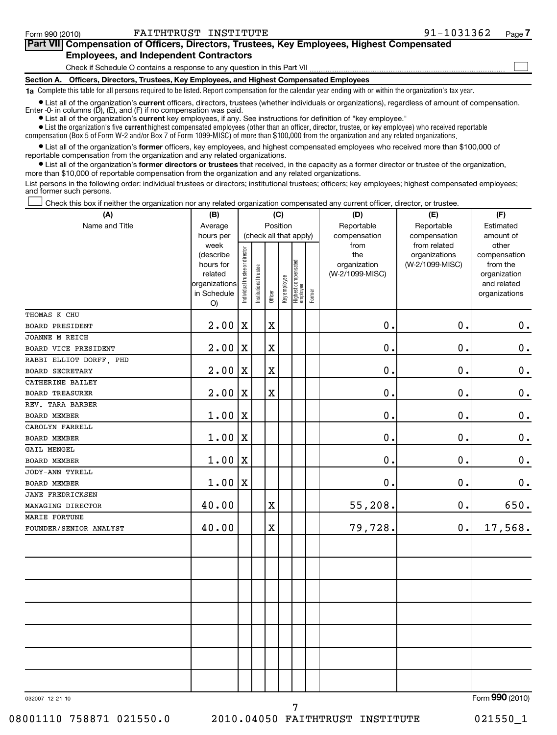## Form 990 (2010) **FAITHTRUST INSTITUTE** 91-1031362 Page

### **Section A. Officers, Directors, Trustees, Key Employees, and Highest Compensated Employees** Check if Schedule O contains a response to any question in this Part VII **Part VII Compensation of Officers, Directors, Trustees, Key Employees, Highest Compensated Employees, and Independent Contractors**  $\sim$

**1a**  Complete this table for all persons required to be listed. Report compensation for the calendar year ending with or within the organization's tax year.

**•** List all of the organization's current officers, directors, trustees (whether individuals or organizations), regardless of amount of compensation. Enter -0- in columns  $(D)$ ,  $(E)$ , and  $(F)$  if no compensation was paid.

**•** List all of the organization's **current** key employees, if any. See instructions for definition of "key employee."

 $\bullet$  List the organization's five  $\tt current$  highest compensated employees (other than an officer, director, trustee, or key employee) who received reportable

compensation (Box 5 of Form W-2 and/or Box 7 of Form 1099-MISC) of more than \$100,000 from the organization and any related organizations .

 $\bullet$  List all of the organization's former officers, key employees, and highest compensated employees who received more than \$100,000 of reportable compensation from the organization and any related organizations.

**•** List all of the organization's former directors or trustees that received, in the capacity as a former director or trustee of the organization, more than \$10,000 of reportable compensation from the organization and any related organizations.

List persons in the following order: individual trustees or directors; institutional trustees; officers; key employees; highest compensated employees; and former such persons.

Check this box if neither the organization nor any related organization compensated any current officer, director, or trustee.  $\left\vert \cdot\right\vert$ 

| (A)                     | (C)<br>(B)                                                                                   |                                |                                                 |             |              |                                 | (D)    | (E)                                                            | (F)                                                              |                                                                                                |
|-------------------------|----------------------------------------------------------------------------------------------|--------------------------------|-------------------------------------------------|-------------|--------------|---------------------------------|--------|----------------------------------------------------------------|------------------------------------------------------------------|------------------------------------------------------------------------------------------------|
| Name and Title          | Average                                                                                      | Position                       |                                                 |             |              |                                 |        | Reportable                                                     | Reportable                                                       | Estimated                                                                                      |
|                         | hours per<br>week<br>(describe<br>hours for<br>related<br>organizations<br>in Schedule<br>O) | Individual trustee or director | (check all that apply)<br>Institutional trustee | Officer     | Key employee | Highest compensated<br>employee | Former | compensation<br>from<br>the<br>organization<br>(W-2/1099-MISC) | compensation<br>from related<br>organizations<br>(W-2/1099-MISC) | amount of<br>other<br>compensation<br>from the<br>organization<br>and related<br>organizations |
| THOMAS K CHU            |                                                                                              |                                |                                                 |             |              |                                 |        |                                                                |                                                                  |                                                                                                |
| <b>BOARD PRESIDENT</b>  | 2.00                                                                                         | X                              |                                                 | X           |              |                                 |        | 0.                                                             | $\mathbf 0$ .                                                    | $\boldsymbol{0}$ .                                                                             |
| <b>JOANNE M REICH</b>   |                                                                                              |                                |                                                 |             |              |                                 |        |                                                                |                                                                  |                                                                                                |
| BOARD VICE PRESIDENT    | 2.00                                                                                         | X                              |                                                 | $\mathbf X$ |              |                                 |        | 0.                                                             | $\mathbf 0$ .                                                    | $\mathbf 0$ .                                                                                  |
| RABBI ELLIOT DORFF, PHD |                                                                                              |                                |                                                 |             |              |                                 |        |                                                                |                                                                  |                                                                                                |
| <b>BOARD SECRETARY</b>  | 2.00                                                                                         | X                              |                                                 | X           |              |                                 |        | 0.                                                             | $\mathbf 0$ .                                                    | $\mathbf 0$ .                                                                                  |
| CATHERINE BAILEY        |                                                                                              |                                |                                                 |             |              |                                 |        |                                                                |                                                                  |                                                                                                |
| <b>BOARD TREASURER</b>  | 2.00                                                                                         | X                              |                                                 | $\mathbf X$ |              |                                 |        | $\mathbf 0$ .                                                  | 0.                                                               | $\boldsymbol{0}$ .                                                                             |
| REV. TARA BARBER        |                                                                                              |                                |                                                 |             |              |                                 |        |                                                                |                                                                  |                                                                                                |
| BOARD MEMBER            | 1.00                                                                                         | X                              |                                                 |             |              |                                 |        | $\mathbf 0$ .                                                  | $\mathbf 0$ .                                                    | $\mathbf 0$ .                                                                                  |
| CAROLYN FARRELL         |                                                                                              |                                |                                                 |             |              |                                 |        |                                                                |                                                                  |                                                                                                |
| <b>BOARD MEMBER</b>     | 1.00                                                                                         | X                              |                                                 |             |              |                                 |        | $\mathbf 0$ .                                                  | $\mathbf 0$ .                                                    | $\mathbf 0$ .                                                                                  |
| GAIL MENGEL             |                                                                                              |                                |                                                 |             |              |                                 |        |                                                                |                                                                  |                                                                                                |
| <b>BOARD MEMBER</b>     | 1.00                                                                                         | X                              |                                                 |             |              |                                 |        | $\mathbf 0$ .                                                  | 0.                                                               | $\mathbf 0$ .                                                                                  |
| JODY-ANN TYRELL         |                                                                                              |                                |                                                 |             |              |                                 |        |                                                                |                                                                  |                                                                                                |
| BOARD MEMBER            | 1.00                                                                                         | X                              |                                                 |             |              |                                 |        | 0.                                                             | $\mathbf 0$ .                                                    | $\mathbf 0$ .                                                                                  |
| <b>JANE FREDRICKSEN</b> |                                                                                              |                                |                                                 |             |              |                                 |        |                                                                |                                                                  |                                                                                                |
| MANAGING DIRECTOR       | 40.00                                                                                        |                                |                                                 | $\mathbf X$ |              |                                 |        | 55,208.                                                        | $\mathbf 0$ .                                                    | 650.                                                                                           |
| MARIE FORTUNE           |                                                                                              |                                |                                                 |             |              |                                 |        |                                                                |                                                                  |                                                                                                |
| FOUNDER/SENIOR ANALYST  | 40.00                                                                                        |                                |                                                 | X           |              |                                 |        | 79,728.                                                        | 0.                                                               | 17,568.                                                                                        |
|                         |                                                                                              |                                |                                                 |             |              |                                 |        |                                                                |                                                                  |                                                                                                |
|                         |                                                                                              |                                |                                                 |             |              |                                 |        |                                                                |                                                                  |                                                                                                |
|                         |                                                                                              |                                |                                                 |             |              |                                 |        |                                                                |                                                                  |                                                                                                |
|                         |                                                                                              |                                |                                                 |             |              |                                 |        |                                                                |                                                                  |                                                                                                |
| 032007 12-21-10         |                                                                                              |                                |                                                 |             |              |                                 |        |                                                                |                                                                  | Form 990 (2010)                                                                                |

7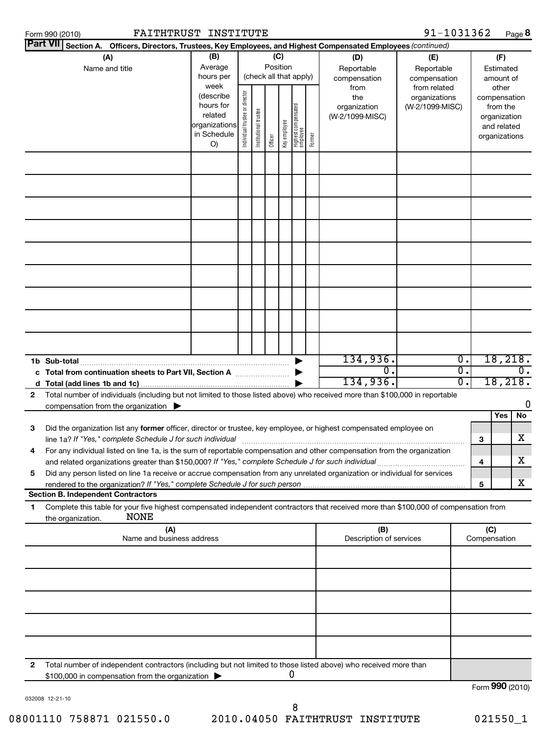|                 | FAITHTRUST INSTITUTE<br>Form 990 (2010)                                                                                                                                                                                         |                                                                                 |                                |                       |         |              |                                 |        |                                                | 91-1031362                                       |                               |                     | Page 8                                                                            |
|-----------------|---------------------------------------------------------------------------------------------------------------------------------------------------------------------------------------------------------------------------------|---------------------------------------------------------------------------------|--------------------------------|-----------------------|---------|--------------|---------------------------------|--------|------------------------------------------------|--------------------------------------------------|-------------------------------|---------------------|-----------------------------------------------------------------------------------|
| <b>Part VII</b> | Section A. Officers, Directors, Trustees, Key Employees, and Highest Compensated Employees (continued)                                                                                                                          |                                                                                 |                                |                       |         |              |                                 |        |                                                |                                                  |                               |                     |                                                                                   |
|                 | (A)<br>Name and title                                                                                                                                                                                                           | (B)<br>(C)<br>Position<br>Average<br>(check all that apply)<br>hours per        |                                |                       |         |              |                                 |        | (D)<br>Reportable<br>compensation              | (E)<br>Reportable<br>compensation                | (F)<br>Estimated<br>amount of |                     |                                                                                   |
|                 |                                                                                                                                                                                                                                 | week<br>(describe<br>hours for<br>related<br>organizations<br>in Schedule<br>O) | Individual trustee or director | Institutional trustee | Officer | Key employee | Highest compensated<br>employee | Former | from<br>the<br>organization<br>(W-2/1099-MISC) | from related<br>organizations<br>(W-2/1099-MISC) |                               |                     | other<br>compensation<br>from the<br>organization<br>and related<br>organizations |
|                 |                                                                                                                                                                                                                                 |                                                                                 |                                |                       |         |              |                                 |        |                                                |                                                  |                               |                     |                                                                                   |
|                 |                                                                                                                                                                                                                                 |                                                                                 |                                |                       |         |              |                                 |        |                                                |                                                  |                               |                     |                                                                                   |
|                 |                                                                                                                                                                                                                                 |                                                                                 |                                |                       |         |              |                                 |        |                                                |                                                  |                               |                     |                                                                                   |
|                 |                                                                                                                                                                                                                                 |                                                                                 |                                |                       |         |              |                                 |        |                                                |                                                  |                               |                     |                                                                                   |
|                 |                                                                                                                                                                                                                                 |                                                                                 |                                |                       |         |              |                                 |        |                                                |                                                  |                               |                     |                                                                                   |
|                 |                                                                                                                                                                                                                                 |                                                                                 |                                |                       |         |              |                                 |        |                                                |                                                  |                               |                     |                                                                                   |
|                 |                                                                                                                                                                                                                                 |                                                                                 |                                |                       |         |              |                                 |        |                                                |                                                  |                               |                     |                                                                                   |
|                 |                                                                                                                                                                                                                                 |                                                                                 |                                |                       |         |              |                                 |        |                                                |                                                  |                               |                     |                                                                                   |
|                 | 1b Sub-total                                                                                                                                                                                                                    |                                                                                 |                                |                       |         |              |                                 |        | 134,936.<br>0.                                 |                                                  | $\overline{0}$ .<br>σ.        |                     | 18,218.<br>$\overline{0}$ .                                                       |
| d               | c Total from continuation sheets to Part VII, Section A                                                                                                                                                                         |                                                                                 |                                |                       |         |              |                                 |        | 134,936.                                       |                                                  | σ.                            |                     | 18,218.                                                                           |
| 2               | Total number of individuals (including but not limited to those listed above) who received more than \$100,000 in reportable                                                                                                    |                                                                                 |                                |                       |         |              |                                 |        |                                                |                                                  |                               |                     |                                                                                   |
|                 | compensation from the organization $\blacktriangleright$                                                                                                                                                                        |                                                                                 |                                |                       |         |              |                                 |        |                                                |                                                  |                               |                     | 0                                                                                 |
|                 |                                                                                                                                                                                                                                 |                                                                                 |                                |                       |         |              |                                 |        |                                                |                                                  |                               |                     | Yes<br>No                                                                         |
| 3               | Did the organization list any former officer, director or trustee, key employee, or highest compensated employee on                                                                                                             |                                                                                 |                                |                       |         |              |                                 |        |                                                |                                                  |                               | 3                   | х                                                                                 |
|                 | For any individual listed on line 1a, is the sum of reportable compensation and other compensation from the organization<br>and related organizations greater than \$150,000? If "Yes," complete Schedule J for such individual |                                                                                 |                                |                       |         |              |                                 |        |                                                |                                                  |                               | 4                   | х                                                                                 |
| 5               | Did any person listed on line 1a receive or accrue compensation from any unrelated organization or individual for services<br>rendered to the organization? If "Yes," complete Schedule J for such person                       |                                                                                 |                                |                       |         |              |                                 |        |                                                |                                                  |                               | 5                   | X.                                                                                |
|                 | <b>Section B. Independent Contractors</b>                                                                                                                                                                                       |                                                                                 |                                |                       |         |              |                                 |        |                                                |                                                  |                               |                     |                                                                                   |
| 1.              | Complete this table for your five highest compensated independent contractors that received more than \$100,000 of compensation from<br><b>NONE</b><br>the organization.                                                        |                                                                                 |                                |                       |         |              |                                 |        |                                                |                                                  |                               |                     |                                                                                   |
|                 | (A)<br>Name and business address                                                                                                                                                                                                |                                                                                 |                                |                       |         |              |                                 |        | (B)<br>Description of services                 |                                                  |                               | (C)<br>Compensation |                                                                                   |
|                 |                                                                                                                                                                                                                                 |                                                                                 |                                |                       |         |              |                                 |        |                                                |                                                  |                               |                     |                                                                                   |
|                 |                                                                                                                                                                                                                                 |                                                                                 |                                |                       |         |              |                                 |        |                                                |                                                  |                               |                     |                                                                                   |
|                 |                                                                                                                                                                                                                                 |                                                                                 |                                |                       |         |              |                                 |        |                                                |                                                  |                               |                     |                                                                                   |
|                 |                                                                                                                                                                                                                                 |                                                                                 |                                |                       |         |              |                                 |        |                                                |                                                  |                               |                     |                                                                                   |
| 2               | Total number of independent contractors (including but not limited to those listed above) who received more than<br>\$100,000 in compensation from the organization                                                             |                                                                                 |                                |                       |         |              | 0                               |        |                                                |                                                  |                               |                     |                                                                                   |

8

032008 12-21-10

Form (2010) **990**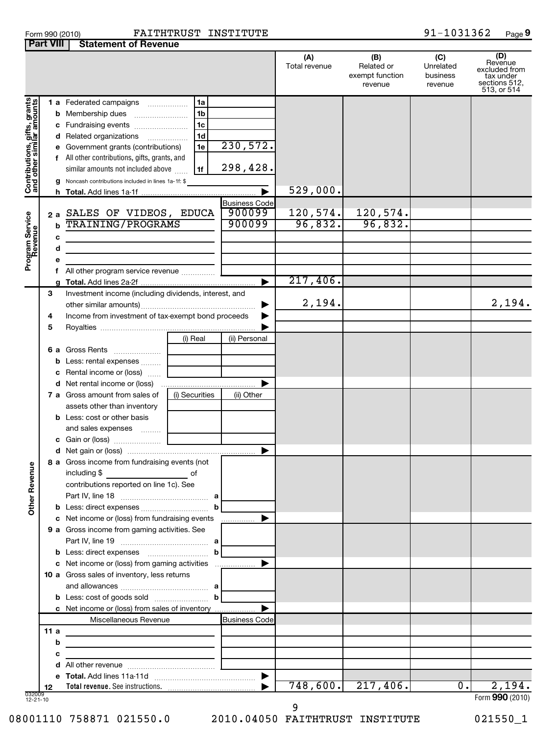| Form 990 (2010) |  |  |  |
|-----------------|--|--|--|
|-----------------|--|--|--|

## Form 990 (2010) **FAITHTRUST INSTITUTE** 91-1031362 Page

91-1031362 Page 9

|                              | <b>Part VIII</b> | <b>Statement of Revenue</b>                                                                                                                                                                                                                                                                 |                                                                      |                      |                      |                                                 |                                         |                                                                              |
|------------------------------|------------------|---------------------------------------------------------------------------------------------------------------------------------------------------------------------------------------------------------------------------------------------------------------------------------------------|----------------------------------------------------------------------|----------------------|----------------------|-------------------------------------------------|-----------------------------------------|------------------------------------------------------------------------------|
|                              |                  |                                                                                                                                                                                                                                                                                             |                                                                      |                      | (A)<br>Total revenue | (B)<br>Related or<br>exempt function<br>revenue | (C)<br>Unrelated<br>business<br>revenue | (D)<br>Revenue<br>excluded from<br>tax under<br>sections 512,<br>513, or 514 |
| Contributions, gifts, grants |                  | 1 a Federated campaigns<br><b>b</b> Membership dues<br>c Fundraising events<br>d Related organizations<br>e Government grants (contributions)<br>f All other contributions, gifts, grants, and<br>similar amounts not included above<br>g Noncash contributions included in lines 1a-1f: \$ | 1a<br>1 <sub>b</sub><br>1 <sub>c</sub><br>1 <sub>d</sub><br>1e<br>1f | 230,572.<br>298,428. |                      |                                                 |                                         |                                                                              |
|                              |                  |                                                                                                                                                                                                                                                                                             |                                                                      |                      | 529,000.             |                                                 |                                         |                                                                              |
|                              |                  |                                                                                                                                                                                                                                                                                             |                                                                      | <b>Business Code</b> |                      |                                                 |                                         |                                                                              |
| Program Service<br>Revenue   | b<br>c           | 2 a SALES OF VIDEOS, EDUCA<br>TRAINING/PROGRAMS<br><u> 1989 - John Stein, Amerikaansk politiker (</u>                                                                                                                                                                                       |                                                                      | 900099<br>900099     | 120,574.<br>96,832.  | 120,574.<br>96,832.                             |                                         |                                                                              |
|                              | d                |                                                                                                                                                                                                                                                                                             |                                                                      |                      |                      |                                                 |                                         |                                                                              |
|                              | е                | f All other program service revenue                                                                                                                                                                                                                                                         |                                                                      | 217,406.             |                      |                                                 |                                         |                                                                              |
|                              | 3                | Investment income (including dividends, interest, and                                                                                                                                                                                                                                       |                                                                      |                      |                      |                                                 |                                         |                                                                              |
|                              | 4<br>5           | Income from investment of tax-exempt bond proceeds                                                                                                                                                                                                                                          |                                                                      | ▶                    | 2,194.               |                                                 |                                         | 2,194.                                                                       |
|                              |                  |                                                                                                                                                                                                                                                                                             | (i) Real                                                             | (ii) Personal        |                      |                                                 |                                         |                                                                              |
|                              |                  | 6 a Gross Rents                                                                                                                                                                                                                                                                             |                                                                      |                      |                      |                                                 |                                         |                                                                              |
|                              |                  | <b>b</b> Less: rental expenses                                                                                                                                                                                                                                                              |                                                                      |                      |                      |                                                 |                                         |                                                                              |
|                              |                  | <b>c</b> Rental income or (loss)                                                                                                                                                                                                                                                            |                                                                      |                      |                      |                                                 |                                         |                                                                              |
|                              |                  | <b>d</b> Net rental income or (loss)                                                                                                                                                                                                                                                        |                                                                      |                      |                      |                                                 |                                         |                                                                              |
|                              |                  | 7 a Gross amount from sales of<br>assets other than inventory                                                                                                                                                                                                                               | (i) Securities                                                       | (ii) Other           |                      |                                                 |                                         |                                                                              |
|                              |                  | <b>b</b> Less: cost or other basis<br>and sales expenses                                                                                                                                                                                                                                    |                                                                      |                      |                      |                                                 |                                         |                                                                              |
|                              |                  |                                                                                                                                                                                                                                                                                             |                                                                      |                      |                      |                                                 |                                         |                                                                              |
|                              |                  | 8 a Gross income from fundraising events (not                                                                                                                                                                                                                                               |                                                                      |                      |                      |                                                 |                                         |                                                                              |
|                              |                  | including \$<br><u>of</u> the contract of<br>contributions reported on line 1c). See                                                                                                                                                                                                        |                                                                      |                      |                      |                                                 |                                         |                                                                              |
| <b>Other Revenue</b>         |                  |                                                                                                                                                                                                                                                                                             | b                                                                    |                      |                      |                                                 |                                         |                                                                              |
|                              |                  | c Net income or (loss) from fundraising events                                                                                                                                                                                                                                              |                                                                      | ▶<br>.               |                      |                                                 |                                         |                                                                              |
|                              |                  | 9 a Gross income from gaming activities. See                                                                                                                                                                                                                                                |                                                                      |                      |                      |                                                 |                                         |                                                                              |
|                              |                  |                                                                                                                                                                                                                                                                                             |                                                                      |                      |                      |                                                 |                                         |                                                                              |
|                              |                  | c Net income or (loss) from gaming activities                                                                                                                                                                                                                                               |                                                                      | ▶                    |                      |                                                 |                                         |                                                                              |
|                              |                  | <b>10 a</b> Gross sales of inventory, less returns                                                                                                                                                                                                                                          |                                                                      |                      |                      |                                                 |                                         |                                                                              |
|                              |                  | <b>b</b> Less: cost of goods sold $\ldots$ <b>b</b>                                                                                                                                                                                                                                         |                                                                      |                      |                      |                                                 |                                         |                                                                              |
|                              |                  |                                                                                                                                                                                                                                                                                             |                                                                      |                      |                      |                                                 |                                         |                                                                              |
|                              |                  | Miscellaneous Revenue                                                                                                                                                                                                                                                                       |                                                                      | <b>Business Code</b> |                      |                                                 |                                         |                                                                              |
|                              | 11 a             | <u> 1989 - Johann Barn, mars ann an t-Alban an t-Alban ann an t-Alban ann an t-Alban ann an t-Alban ann an t-Alba</u>                                                                                                                                                                       |                                                                      |                      |                      |                                                 |                                         |                                                                              |
|                              | b                | <u> 1989 - Johann Stein, mars et al. 1990 - Anna ann an t-Anna ann an t-Anna ann an t-Anna ann an t-Anna ann an t-</u>                                                                                                                                                                      |                                                                      |                      |                      |                                                 |                                         |                                                                              |
|                              | с                |                                                                                                                                                                                                                                                                                             | the control of the control of the control of the                     |                      |                      |                                                 |                                         |                                                                              |
|                              | d                |                                                                                                                                                                                                                                                                                             |                                                                      |                      |                      |                                                 |                                         |                                                                              |
|                              |                  |                                                                                                                                                                                                                                                                                             |                                                                      | ▶                    | 748,600.             | 217,406.                                        | $\overline{0}$ .                        | 2,194.                                                                       |
| 032009<br>12-21-10           | 12               |                                                                                                                                                                                                                                                                                             |                                                                      |                      |                      |                                                 |                                         | Form 990 (2010)                                                              |
|                              |                  |                                                                                                                                                                                                                                                                                             |                                                                      |                      | 9                    |                                                 |                                         |                                                                              |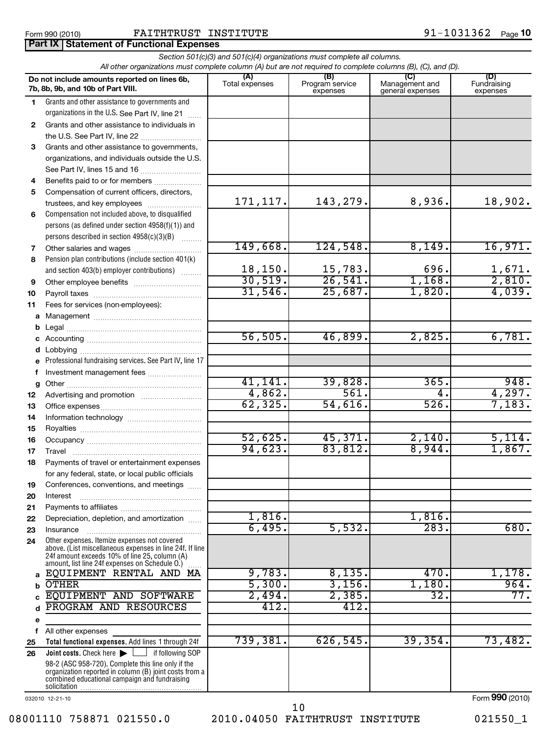**Part IX | Statement of Functional Expenses** 

## Form 990 (2010) **FAITHTRUST INSTITUTE 9** $1\text{--}10\,31\,36\,2\quad$  **Page**

91-1031362 Page 10

|              | All other organizations must complete column (A) but are not required to complete columns (B), (C), and (D).                                                  | Section 501(c)(3) and 501(c)(4) organizations must complete all columns. |                             |                                    |                                |
|--------------|---------------------------------------------------------------------------------------------------------------------------------------------------------------|--------------------------------------------------------------------------|-----------------------------|------------------------------------|--------------------------------|
|              | Do not include amounts reported on lines 6b,                                                                                                                  | (A)                                                                      | (B)                         | (C)                                |                                |
|              | 7b, 8b, 9b, and 10b of Part VIII.                                                                                                                             | Total expenses                                                           | Program service<br>expenses | Management and<br>general expenses | (D)<br>Fundraising<br>expenses |
| $\mathbf{1}$ | Grants and other assistance to governments and                                                                                                                |                                                                          |                             |                                    |                                |
|              | organizations in the U.S. See Part IV, line 21                                                                                                                |                                                                          |                             |                                    |                                |
| $\mathbf{2}$ | Grants and other assistance to individuals in                                                                                                                 |                                                                          |                             |                                    |                                |
|              | the U.S. See Part IV, line 22                                                                                                                                 |                                                                          |                             |                                    |                                |
| 3            | Grants and other assistance to governments,                                                                                                                   |                                                                          |                             |                                    |                                |
|              | organizations, and individuals outside the U.S.                                                                                                               |                                                                          |                             |                                    |                                |
|              | See Part IV, lines 15 and 16                                                                                                                                  |                                                                          |                             |                                    |                                |
| 4            | Benefits paid to or for members                                                                                                                               |                                                                          |                             |                                    |                                |
| 5            | Compensation of current officers, directors,                                                                                                                  |                                                                          |                             |                                    |                                |
|              | trustees, and key employees                                                                                                                                   | 171, 117.                                                                | 143,279.                    | 8,936.                             | 18,902.                        |
| 6            | Compensation not included above, to disqualified                                                                                                              |                                                                          |                             |                                    |                                |
|              | persons (as defined under section 4958(f)(1)) and                                                                                                             |                                                                          |                             |                                    |                                |
|              | persons described in section 4958(c)(3)(B)                                                                                                                    | 149,668.                                                                 | 124,548.                    | 8,149.                             | 16,971.                        |
| 7            | Pension plan contributions (include section 401(k)                                                                                                            |                                                                          |                             |                                    |                                |
| 8            | and section 403(b) employer contributions)                                                                                                                    | 18,150.                                                                  | 15,783.                     | 696.                               |                                |
| 9            |                                                                                                                                                               | 30,519.                                                                  | 26,541.                     | 1,168.                             | $\frac{1,671}{2,810}$          |
| 10           |                                                                                                                                                               | 31,546.                                                                  | 25,687.                     | 1,820.                             | 4,039.                         |
| 11           | Fees for services (non-employees):                                                                                                                            |                                                                          |                             |                                    |                                |
| a            |                                                                                                                                                               |                                                                          |                             |                                    |                                |
| b            |                                                                                                                                                               |                                                                          |                             |                                    |                                |
| с            |                                                                                                                                                               | 56,505.                                                                  | 46,899.                     | 2,825.                             | 6,781.                         |
| d            |                                                                                                                                                               |                                                                          |                             |                                    |                                |
| е            | Professional fundraising services. See Part IV, line 17                                                                                                       |                                                                          |                             |                                    |                                |
| f            | Investment management fees                                                                                                                                    |                                                                          |                             |                                    |                                |
| g            |                                                                                                                                                               | 41,141.                                                                  | 39,828.                     | 365.                               | 948.                           |
| 12           |                                                                                                                                                               | 4,862.                                                                   | 561.                        | 4.                                 | 4,297.                         |
| 13           |                                                                                                                                                               | 62, 325.                                                                 | 54,616.                     | 526.                               | 7,183.                         |
| 14           |                                                                                                                                                               |                                                                          |                             |                                    |                                |
| 15           |                                                                                                                                                               |                                                                          |                             |                                    |                                |
| 16           |                                                                                                                                                               | 52,625.                                                                  | 45,371.                     | 2,140.                             | 5,114.                         |
| 17           |                                                                                                                                                               | 94,623.                                                                  | 83,812.                     | 8,944.                             | 1,867.                         |
| 18           | Payments of travel or entertainment expenses                                                                                                                  |                                                                          |                             |                                    |                                |
|              | for any federal, state, or local public officials                                                                                                             |                                                                          |                             |                                    |                                |
| 19           | Conferences, conventions, and meetings                                                                                                                        |                                                                          |                             |                                    |                                |
| 20           | Interest                                                                                                                                                      |                                                                          |                             |                                    |                                |
| 21           |                                                                                                                                                               | 1,816.                                                                   |                             | 1,816.                             |                                |
| 22           | Depreciation, depletion, and amortization                                                                                                                     | 6,495.                                                                   | 5,532.                      | 283.                               | 680.                           |
| 23           | Insurance<br>Other expenses. Itemize expenses not covered                                                                                                     |                                                                          |                             |                                    |                                |
| 24           | above. (List miscellaneous expenses in line 24f. If line<br>24f amount exceeds 10% of line 25, column (A)                                                     |                                                                          |                             |                                    |                                |
|              | amount, list line 24f expenses on Schedule O.)<br>EQUIPMENT RENTAL AND MA                                                                                     | 9,783.                                                                   | 8,135.                      | 470.                               | 1,178.                         |
| a            | <b>OTHER</b>                                                                                                                                                  | 5,300.                                                                   | 3,156.                      | 1,180.                             | 964.                           |
| b            | EQUIPMENT AND SOFTWARE                                                                                                                                        | 2,494.                                                                   | 2,385.                      | $\overline{32}$                    | 77.                            |
| d            | PROGRAM AND RESOURCES                                                                                                                                         | 412.                                                                     | 412.                        |                                    |                                |
| е            |                                                                                                                                                               |                                                                          |                             |                                    |                                |
| f            | All other expenses                                                                                                                                            |                                                                          |                             |                                    |                                |
| 25           | Total functional expenses. Add lines 1 through 24f                                                                                                            | 739,381.                                                                 | 626,545.                    | 39,354.                            | 73,482.                        |
| 26           | Joint costs. Check here<br>if following SOP                                                                                                                   |                                                                          |                             |                                    |                                |
|              | 98-2 (ASC 958-720). Complete this line only if the<br>organization reported in column (B) joint costs from a<br>combined educational campaign and fundraising |                                                                          |                             |                                    |                                |
|              |                                                                                                                                                               |                                                                          |                             |                                    |                                |

032010 12-21-10

Form (2010) **990**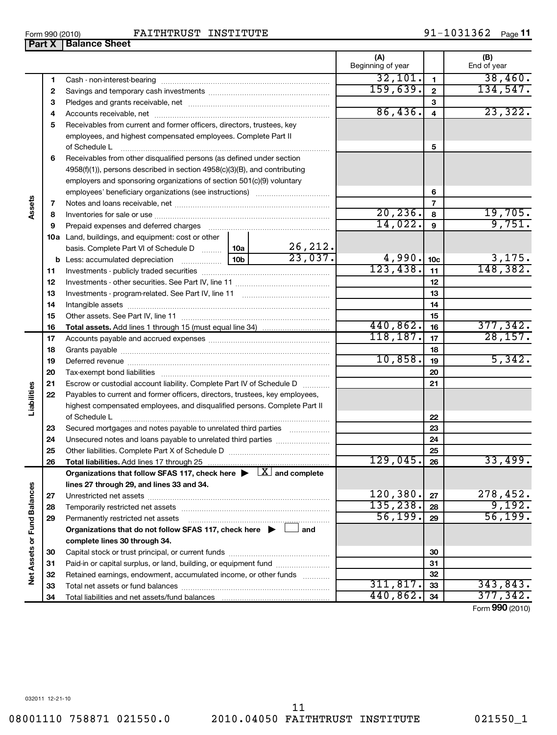Form 990 (2010) **FAITHTRUST INSTITUTE 9** $1\text{--}10\,31\,36\,2\quad$  **Page** 

91-1031362 Page 11

|                             | Part $X$ | <b>Balance Sheet</b>                                                                                                                                                                                                           |          |                         |                          |                 |                         |
|-----------------------------|----------|--------------------------------------------------------------------------------------------------------------------------------------------------------------------------------------------------------------------------------|----------|-------------------------|--------------------------|-----------------|-------------------------|
|                             |          |                                                                                                                                                                                                                                |          |                         | (A)<br>Beginning of year |                 | (B)<br>End of year      |
|                             | 1        |                                                                                                                                                                                                                                |          |                         | 32,101.                  | $\mathbf{1}$    | 38,460.                 |
|                             | 2        |                                                                                                                                                                                                                                | 159,639. | $\overline{2}$          | 134, 547.                |                 |                         |
|                             | з        |                                                                                                                                                                                                                                |          |                         |                          | 3               |                         |
|                             | 4        |                                                                                                                                                                                                                                |          | 86,436.                 | $\overline{\mathbf{4}}$  | 23,322.         |                         |
|                             | 5        | Receivables from current and former officers, directors, trustees, key                                                                                                                                                         |          |                         |                          |                 |                         |
|                             |          | employees, and highest compensated employees. Complete Part II                                                                                                                                                                 |          |                         |                          |                 |                         |
|                             |          | of Schedule L                                                                                                                                                                                                                  |          |                         |                          | 5               |                         |
|                             | 6        | Receivables from other disqualified persons (as defined under section                                                                                                                                                          |          |                         |                          |                 |                         |
|                             |          | 4958(f)(1)), persons described in section 4958(c)(3)(B), and contributing                                                                                                                                                      |          |                         |                          |                 |                         |
|                             |          | employers and sponsoring organizations of section 501(c)(9) voluntary                                                                                                                                                          |          |                         |                          |                 |                         |
|                             |          |                                                                                                                                                                                                                                |          |                         |                          | 6               |                         |
| Assets                      | 7        |                                                                                                                                                                                                                                |          |                         |                          | $\overline{7}$  |                         |
|                             | 8        |                                                                                                                                                                                                                                |          |                         | 20, 236.                 | 8               | $\frac{19,705}{9,751}$  |
|                             | 9        | Prepaid expenses and deferred charges [11] [11] prepaid expenses and deferred charges [11] [11] minimum and the Prepaid expenses and deferred charges [11] minimum and the Prepaid experiment of Prepaid experiment and the Pr |          |                         | 14,022.                  | $\mathbf{9}$    |                         |
|                             |          | 10a Land, buildings, and equipment: cost or other                                                                                                                                                                              |          |                         |                          |                 |                         |
|                             |          | basis. Complete Part VI of Schedule D  10a                                                                                                                                                                                     |          | $\frac{26,212}{23,037}$ |                          |                 |                         |
|                             |          |                                                                                                                                                                                                                                |          |                         | 4,990.                   | 10 <sub>c</sub> | $\frac{3,175}{148,382}$ |
|                             | 11       |                                                                                                                                                                                                                                |          |                         | 123,438.                 | 11              |                         |
|                             | 12       |                                                                                                                                                                                                                                |          |                         | 12                       |                 |                         |
|                             | 13       |                                                                                                                                                                                                                                |          | 13                      |                          |                 |                         |
|                             | 14       |                                                                                                                                                                                                                                |          |                         |                          | 14              |                         |
|                             | 15       |                                                                                                                                                                                                                                |          | 15                      |                          |                 |                         |
|                             | 16       | <b>Total assets.</b> Add lines 1 through 15 (must equal line 34) <i></i>                                                                                                                                                       |          |                         | 440,862.                 | 16              | 377, 342.               |
|                             | 17       |                                                                                                                                                                                                                                |          | 118, 187.               | 17                       | 28, 157.        |                         |
|                             | 18       |                                                                                                                                                                                                                                |          |                         |                          | 18              |                         |
|                             | 19       |                                                                                                                                                                                                                                |          |                         | 10,858.                  | 19              | 5,342.                  |
|                             | 20       |                                                                                                                                                                                                                                |          |                         |                          | 20              |                         |
|                             | 21       | Escrow or custodial account liability. Complete Part IV of Schedule D                                                                                                                                                          |          |                         |                          | 21              |                         |
| Liabilities                 | 22       | Payables to current and former officers, directors, trustees, key employees,                                                                                                                                                   |          |                         |                          |                 |                         |
|                             |          | highest compensated employees, and disqualified persons. Complete Part II                                                                                                                                                      |          |                         |                          |                 |                         |
|                             |          | of Schedule L                                                                                                                                                                                                                  |          |                         |                          | 22              |                         |
|                             | 23       | Secured mortgages and notes payable to unrelated third parties                                                                                                                                                                 |          |                         |                          | 23              |                         |
|                             | 24       |                                                                                                                                                                                                                                |          |                         |                          | 24              |                         |
|                             | 25       |                                                                                                                                                                                                                                |          |                         |                          | 25              |                         |
|                             | 26       | Total liabilities. Add lines 17 through 25                                                                                                                                                                                     |          |                         | $129,045.$ 26            |                 | 33,499.                 |
|                             |          | Organizations that follow SFAS 117, check here $\blacktriangleright \Box X$ and complete                                                                                                                                       |          |                         |                          |                 |                         |
|                             |          | lines 27 through 29, and lines 33 and 34.                                                                                                                                                                                      |          |                         |                          |                 |                         |
|                             | 27       |                                                                                                                                                                                                                                |          |                         | 120,380.                 | 27              | 278,452.                |
|                             | 28       | Temporarily restricted net assets                                                                                                                                                                                              |          |                         | 135, 238.                | 28              | 9,192.                  |
|                             | 29       | Permanently restricted net assets                                                                                                                                                                                              |          | and                     | 56, 199.                 | 29              | 56, 199.                |
|                             |          | Organizations that do not follow SFAS 117, check here $\blacktriangleright \perp$                                                                                                                                              |          |                         |                          |                 |                         |
|                             |          | complete lines 30 through 34.                                                                                                                                                                                                  |          |                         |                          |                 |                         |
|                             | 30       |                                                                                                                                                                                                                                |          |                         |                          | 30              |                         |
| Net Assets or Fund Balances | 31       | Paid-in or capital surplus, or land, building, or equipment fund                                                                                                                                                               |          |                         |                          | 31              |                         |
|                             | 32       | Retained earnings, endowment, accumulated income, or other funds                                                                                                                                                               |          |                         |                          | 32              |                         |
|                             | 33       |                                                                                                                                                                                                                                |          |                         | 311,817.                 | 33              | 343,843.                |
|                             | 34       |                                                                                                                                                                                                                                |          |                         | 440,862.                 | 34              | 377, 342.               |

Form (2010) **990**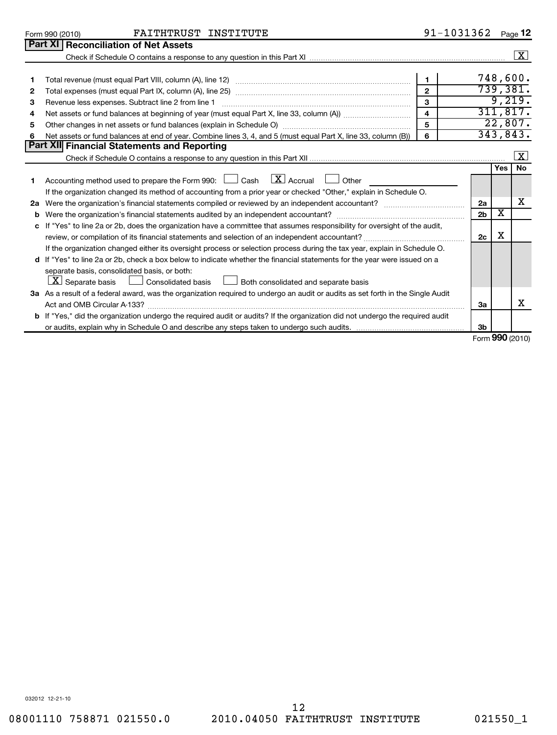| Form 990 (2010)                              | FAITHTRUST INSTITUTE                                                                                                                                                         | 91-1031362     |          |                       | Page 12                        |
|----------------------------------------------|------------------------------------------------------------------------------------------------------------------------------------------------------------------------------|----------------|----------|-----------------------|--------------------------------|
| <b>Part XI Reconciliation of Net Assets</b>  |                                                                                                                                                                              |                |          |                       |                                |
|                                              |                                                                                                                                                                              |                |          |                       | $\lfloor x \rfloor$            |
|                                              |                                                                                                                                                                              |                |          |                       |                                |
| 1                                            |                                                                                                                                                                              | $\mathbf{1}$   | 748,600. |                       |                                |
| $\mathbf{2}$                                 |                                                                                                                                                                              | $\mathfrak{p}$ | 739,381. |                       |                                |
| 3                                            | Revenue less expenses. Subtract line 2 from line 1                                                                                                                           | $\mathbf{3}$   |          |                       | 9,219.                         |
| 4                                            |                                                                                                                                                                              | $\overline{4}$ | 311,817. |                       |                                |
| 5                                            |                                                                                                                                                                              | 5              | 22,807.  |                       |                                |
| 6                                            | Net assets or fund balances at end of year. Combine lines 3, 4, and 5 (must equal Part X, line 33, column (B))                                                               | 6              | 343,843. |                       |                                |
|                                              | Part XII Financial Statements and Reporting                                                                                                                                  |                |          |                       |                                |
|                                              |                                                                                                                                                                              |                |          |                       | $\lfloor x \rfloor$            |
|                                              |                                                                                                                                                                              |                |          | <b>Yes</b>            | <b>No</b>                      |
|                                              | Accounting method used to prepare the Form 990: $\Box$ Cash $\Box X$ Accrual $\Box$ Other                                                                                    |                |          |                       |                                |
|                                              | If the organization changed its method of accounting from a prior year or checked "Other," explain in Schedule O.                                                            |                |          |                       |                                |
| 2a                                           |                                                                                                                                                                              | 2a             |          |                       | х                              |
| b                                            |                                                                                                                                                                              | 2 <sub>b</sub> |          | $\overline{\text{x}}$ |                                |
| c                                            | If "Yes" to line 2a or 2b, does the organization have a committee that assumes responsibility for oversight of the audit,                                                    |                |          |                       |                                |
|                                              |                                                                                                                                                                              | 2c             |          | х                     |                                |
|                                              | If the organization changed either its oversight process or selection process during the tax year, explain in Schedule O.                                                    |                |          |                       |                                |
|                                              | d If "Yes" to line 2a or 2b, check a box below to indicate whether the financial statements for the year were issued on a                                                    |                |          |                       |                                |
| separate basis, consolidated basis, or both: |                                                                                                                                                                              |                |          |                       |                                |
|                                              | $\lfloor \underline{X} \rfloor$ Separate basis $\lfloor \underline{\bot} \rfloor$ Consolidated basis $\lfloor \underline{\bot} \rfloor$ Both consolidated and separate basis |                |          |                       |                                |
|                                              | 3a As a result of a federal award, was the organization required to undergo an audit or audits as set forth in the Single Audit                                              |                |          |                       |                                |
|                                              |                                                                                                                                                                              | За             |          |                       | x                              |
|                                              | b If "Yes," did the organization undergo the required audit or audits? If the organization did not undergo the required audit                                                |                |          |                       |                                |
|                                              |                                                                                                                                                                              | 3 <sub>b</sub> |          |                       | $T_{\text{max}}$ 000 $(0.010)$ |

Form (2010) **990**

032012 12-21-10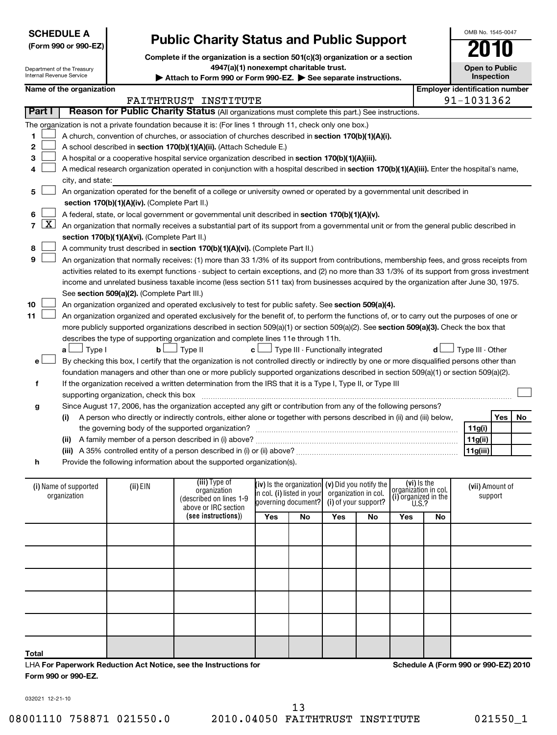| <b>SCHEDULE A</b> |                      |
|-------------------|----------------------|
|                   | (Form 990 or 990-EZ) |

Department of the Treasury

# **Public Charity Status and Public Support**

**Complete if the organization is a section 501(c)(3) organization or a section**

**4947(a)(1) nonexempt charitable trust.**

| Internal Revenue Service |                                                                                                                                                                                                                                               |                                               | Attach to Form 990 or Form 990-EZ. See separate instructions.                                                                                                                                                             |                                                        |                                                   |                      |    |                                              |    |                                       | Inspection                 |    |
|--------------------------|-----------------------------------------------------------------------------------------------------------------------------------------------------------------------------------------------------------------------------------------------|-----------------------------------------------|---------------------------------------------------------------------------------------------------------------------------------------------------------------------------------------------------------------------------|--------------------------------------------------------|---------------------------------------------------|----------------------|----|----------------------------------------------|----|---------------------------------------|----------------------------|----|
|                          | Name of the organization                                                                                                                                                                                                                      |                                               |                                                                                                                                                                                                                           |                                                        |                                                   |                      |    |                                              |    | <b>Employer identification number</b> |                            |    |
|                          |                                                                                                                                                                                                                                               |                                               | FAITHTRUST INSTITUTE                                                                                                                                                                                                      |                                                        |                                                   |                      |    |                                              |    | 91-1031362                            |                            |    |
| Part I                   |                                                                                                                                                                                                                                               |                                               | Reason for Public Charity Status (All organizations must complete this part.) See instructions.                                                                                                                           |                                                        |                                                   |                      |    |                                              |    |                                       |                            |    |
|                          |                                                                                                                                                                                                                                               |                                               | The organization is not a private foundation because it is: (For lines 1 through 11, check only one box.)                                                                                                                 |                                                        |                                                   |                      |    |                                              |    |                                       |                            |    |
| 1                        |                                                                                                                                                                                                                                               |                                               | A church, convention of churches, or association of churches described in section 170(b)(1)(A)(i).                                                                                                                        |                                                        |                                                   |                      |    |                                              |    |                                       |                            |    |
| 2                        |                                                                                                                                                                                                                                               |                                               | A school described in section 170(b)(1)(A)(ii). (Attach Schedule E.)                                                                                                                                                      |                                                        |                                                   |                      |    |                                              |    |                                       |                            |    |
| 3                        |                                                                                                                                                                                                                                               |                                               | A hospital or a cooperative hospital service organization described in section 170(b)(1)(A)(iii).                                                                                                                         |                                                        |                                                   |                      |    |                                              |    |                                       |                            |    |
| 4                        |                                                                                                                                                                                                                                               |                                               | A medical research organization operated in conjunction with a hospital described in section 170(b)(1)(A)(iii). Enter the hospital's name,                                                                                |                                                        |                                                   |                      |    |                                              |    |                                       |                            |    |
|                          | city, and state:                                                                                                                                                                                                                              |                                               |                                                                                                                                                                                                                           |                                                        |                                                   |                      |    |                                              |    |                                       |                            |    |
| 5                        | An organization operated for the benefit of a college or university owned or operated by a governmental unit described in                                                                                                                     |                                               |                                                                                                                                                                                                                           |                                                        |                                                   |                      |    |                                              |    |                                       |                            |    |
|                          | section 170(b)(1)(A)(iv). (Complete Part II.)                                                                                                                                                                                                 |                                               |                                                                                                                                                                                                                           |                                                        |                                                   |                      |    |                                              |    |                                       |                            |    |
| 6<br>$\lfloor x \rfloor$ | A federal, state, or local government or governmental unit described in section 170(b)(1)(A)(v).<br>An organization that normally receives a substantial part of its support from a governmental unit or from the general public described in |                                               |                                                                                                                                                                                                                           |                                                        |                                                   |                      |    |                                              |    |                                       |                            |    |
| $\overline{7}$           |                                                                                                                                                                                                                                               |                                               |                                                                                                                                                                                                                           |                                                        |                                                   |                      |    |                                              |    |                                       |                            |    |
| 8                        |                                                                                                                                                                                                                                               | section 170(b)(1)(A)(vi). (Complete Part II.) |                                                                                                                                                                                                                           |                                                        |                                                   |                      |    |                                              |    |                                       |                            |    |
| 9                        |                                                                                                                                                                                                                                               |                                               | A community trust described in section 170(b)(1)(A)(vi). (Complete Part II.)<br>An organization that normally receives: (1) more than 33 1/3% of its support from contributions, membership fees, and gross receipts from |                                                        |                                                   |                      |    |                                              |    |                                       |                            |    |
|                          |                                                                                                                                                                                                                                               |                                               | activities related to its exempt functions - subject to certain exceptions, and (2) no more than 33 1/3% of its support from gross investment                                                                             |                                                        |                                                   |                      |    |                                              |    |                                       |                            |    |
|                          |                                                                                                                                                                                                                                               |                                               | income and unrelated business taxable income (less section 511 tax) from businesses acquired by the organization after June 30, 1975.                                                                                     |                                                        |                                                   |                      |    |                                              |    |                                       |                            |    |
|                          |                                                                                                                                                                                                                                               | See section 509(a)(2). (Complete Part III.)   |                                                                                                                                                                                                                           |                                                        |                                                   |                      |    |                                              |    |                                       |                            |    |
| 10                       |                                                                                                                                                                                                                                               |                                               | An organization organized and operated exclusively to test for public safety. See section 509(a)(4).                                                                                                                      |                                                        |                                                   |                      |    |                                              |    |                                       |                            |    |
| 11                       |                                                                                                                                                                                                                                               |                                               | An organization organized and operated exclusively for the benefit of, to perform the functions of, or to carry out the purposes of one or                                                                                |                                                        |                                                   |                      |    |                                              |    |                                       |                            |    |
|                          |                                                                                                                                                                                                                                               |                                               | more publicly supported organizations described in section 509(a)(1) or section 509(a)(2). See section 509(a)(3). Check the box that                                                                                      |                                                        |                                                   |                      |    |                                              |    |                                       |                            |    |
|                          |                                                                                                                                                                                                                                               |                                               | describes the type of supporting organization and complete lines 11e through 11h.                                                                                                                                         |                                                        |                                                   |                      |    |                                              |    |                                       |                            |    |
|                          | $a \Box$ Type I                                                                                                                                                                                                                               |                                               | $\mathsf{b}\sqcup\hspace{-.15cm}\sqcup\hspace{-.15cm}\sqcup\hspace{-.15cm}\sqcup\hspace{-.15cm}\sqcup$                                                                                                                    | $\mathbf{c}$ $\Box$ Type III - Functionally integrated |                                                   |                      |    |                                              |    | Type III - Other                      |                            |    |
| e                        |                                                                                                                                                                                                                                               |                                               | By checking this box, I certify that the organization is not controlled directly or indirectly by one or more disqualified persons other than                                                                             |                                                        |                                                   |                      |    |                                              |    |                                       |                            |    |
|                          |                                                                                                                                                                                                                                               |                                               | foundation managers and other than one or more publicly supported organizations described in section 509(a)(1) or section 509(a)(2).                                                                                      |                                                        |                                                   |                      |    |                                              |    |                                       |                            |    |
| f                        |                                                                                                                                                                                                                                               |                                               | If the organization received a written determination from the IRS that it is a Type I, Type II, or Type III                                                                                                               |                                                        |                                                   |                      |    |                                              |    |                                       |                            |    |
|                          |                                                                                                                                                                                                                                               | supporting organization, check this box       |                                                                                                                                                                                                                           |                                                        |                                                   |                      |    |                                              |    |                                       |                            |    |
| g                        |                                                                                                                                                                                                                                               |                                               | Since August 17, 2006, has the organization accepted any gift or contribution from any of the following persons?                                                                                                          |                                                        |                                                   |                      |    |                                              |    |                                       |                            |    |
|                          | $\vert$ (I)                                                                                                                                                                                                                                   |                                               | A person who directly or indirectly controls, either alone or together with persons described in (ii) and (iii) below,                                                                                                    |                                                        |                                                   |                      |    |                                              |    |                                       | Yes                        | No |
|                          |                                                                                                                                                                                                                                               |                                               | the governing body of the supported organization?                                                                                                                                                                         |                                                        |                                                   |                      |    |                                              |    | 11g(i)                                |                            |    |
|                          | (ii)                                                                                                                                                                                                                                          |                                               |                                                                                                                                                                                                                           |                                                        |                                                   |                      |    |                                              |    | 11g(ii)                               |                            |    |
|                          |                                                                                                                                                                                                                                               |                                               |                                                                                                                                                                                                                           |                                                        |                                                   |                      |    |                                              |    | 11g(iii)                              |                            |    |
| h                        |                                                                                                                                                                                                                                               |                                               | Provide the following information about the supported organization(s).                                                                                                                                                    |                                                        |                                                   |                      |    |                                              |    |                                       |                            |    |
|                          |                                                                                                                                                                                                                                               |                                               | (iii) Type of                                                                                                                                                                                                             |                                                        | (iv) Is the organization $(v)$ Did you notify the |                      |    | (vi) is the                                  |    |                                       |                            |    |
|                          | (i) Name of supported<br>organization                                                                                                                                                                                                         | (ii) EIN                                      | organization                                                                                                                                                                                                              |                                                        | in col. (i) listed in your organization in col.   |                      |    | organization in col.<br>(i) organized in the |    |                                       | (vii) Amount of<br>support |    |
|                          |                                                                                                                                                                                                                                               |                                               | (described on lines 1-9<br>above or IRC section                                                                                                                                                                           |                                                        | laovernina document? l                            | (i) of your support? |    | <b>U.S.?</b>                                 |    |                                       |                            |    |
|                          |                                                                                                                                                                                                                                               |                                               | (see instructions))                                                                                                                                                                                                       | Yes                                                    | No                                                | Yes                  | No | Yes                                          | No |                                       |                            |    |
|                          |                                                                                                                                                                                                                                               |                                               |                                                                                                                                                                                                                           |                                                        |                                                   |                      |    |                                              |    |                                       |                            |    |
|                          |                                                                                                                                                                                                                                               |                                               |                                                                                                                                                                                                                           |                                                        |                                                   |                      |    |                                              |    |                                       |                            |    |
|                          |                                                                                                                                                                                                                                               |                                               |                                                                                                                                                                                                                           |                                                        |                                                   |                      |    |                                              |    |                                       |                            |    |
|                          |                                                                                                                                                                                                                                               |                                               |                                                                                                                                                                                                                           |                                                        |                                                   |                      |    |                                              |    |                                       |                            |    |
|                          |                                                                                                                                                                                                                                               |                                               |                                                                                                                                                                                                                           |                                                        |                                                   |                      |    |                                              |    |                                       |                            |    |

| (i) Name of supported<br>organization | $(ii)$ EIN | (iii) Type of<br>organization<br>(described on lines 1-9<br>above or IRC section |     | in col. (i) listed in your | $(iv)$ is the organization $(v)$ Did you notify the<br>organization in col.<br>governing document? (i) of your support? |     | (vi) Is the<br>organization in col.<br>(i) organized in the<br>$\frac{0.57}{0.5.7}$ |    | (vii) Amount of<br>support           |
|---------------------------------------|------------|----------------------------------------------------------------------------------|-----|----------------------------|-------------------------------------------------------------------------------------------------------------------------|-----|-------------------------------------------------------------------------------------|----|--------------------------------------|
|                                       |            | (see instructions))                                                              | Yes | No.                        | Yes                                                                                                                     | No. | Yes                                                                                 | No |                                      |
|                                       |            |                                                                                  |     |                            |                                                                                                                         |     |                                                                                     |    |                                      |
|                                       |            |                                                                                  |     |                            |                                                                                                                         |     |                                                                                     |    |                                      |
|                                       |            |                                                                                  |     |                            |                                                                                                                         |     |                                                                                     |    |                                      |
|                                       |            |                                                                                  |     |                            |                                                                                                                         |     |                                                                                     |    |                                      |
|                                       |            |                                                                                  |     |                            |                                                                                                                         |     |                                                                                     |    |                                      |
| Total                                 |            |                                                                                  |     |                            |                                                                                                                         |     |                                                                                     |    |                                      |
|                                       |            | LHA For Panerwork Reduction Act Notice, see the Instructions for                 |     |                            |                                                                                                                         |     |                                                                                     |    | Schedule A (Form 990 or 990-F7) 2010 |

LHA **For Paperwork Reduction Act Notice, see the Instructions for Form 990 or 990-EZ.**

**Schedule A (Form 990 or 990-EZ) 2010**

032021 12-21-10

OMB No. 1545-0047

**Open to Public**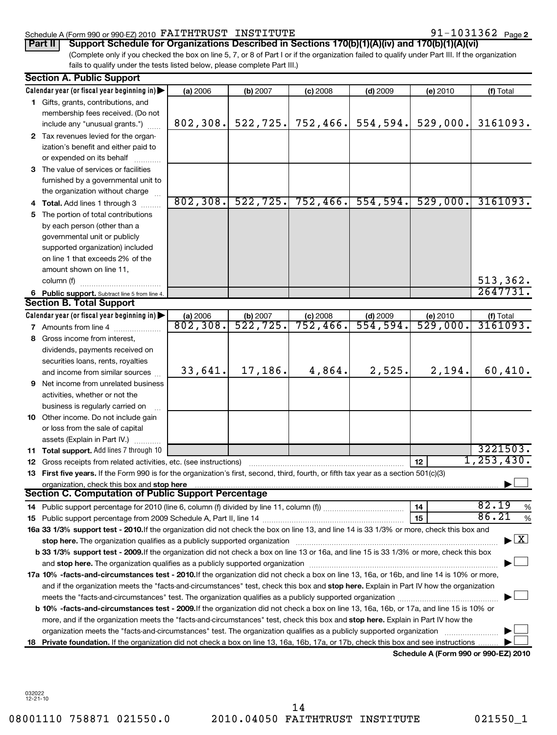### Schedule A (Form 990 or 990-EZ) 2010 PALTHTRUST INSTITTUTE NAMEL ASSESSED A SALE Page 2 FAITHTRUST INSTITUTE 91-1031362

| Part II Support Schedule for Organizations Described in Sections 170(b)(1)(A)(iv) and 170(b)(1)(A)(vi)                                          |
|-------------------------------------------------------------------------------------------------------------------------------------------------|
| (Complete only if you checked the box on line 5, 7, or 8 of Part I or if the organization failed to qualify under Part III. If the organization |
| fails to qualify under the tests listed below, please complete Part III.)                                                                       |

|    | <b>Section A. Public Support</b>                                                                                                                                                                                                                                 |                     |                         |            |            |                                      |                         |
|----|------------------------------------------------------------------------------------------------------------------------------------------------------------------------------------------------------------------------------------------------------------------|---------------------|-------------------------|------------|------------|--------------------------------------|-------------------------|
|    | Calendar year (or fiscal year beginning in)                                                                                                                                                                                                                      | (a) 2006            | (b) 2007                | $(c)$ 2008 | $(d)$ 2009 | (e) 2010                             | (f) Total               |
|    | 1 Gifts, grants, contributions, and                                                                                                                                                                                                                              |                     |                         |            |            |                                      |                         |
|    | membership fees received. (Do not                                                                                                                                                                                                                                |                     |                         |            |            |                                      |                         |
|    | include any "unusual grants.")                                                                                                                                                                                                                                   | 802,308.            | 522,725.                | 752, 466.  | 554,594.   | 529,000.                             | 3161093.                |
|    | 2 Tax revenues levied for the organ-                                                                                                                                                                                                                             |                     |                         |            |            |                                      |                         |
|    | ization's benefit and either paid to                                                                                                                                                                                                                             |                     |                         |            |            |                                      |                         |
|    | or expended on its behalf                                                                                                                                                                                                                                        |                     |                         |            |            |                                      |                         |
|    | 3 The value of services or facilities                                                                                                                                                                                                                            |                     |                         |            |            |                                      |                         |
|    | furnished by a governmental unit to                                                                                                                                                                                                                              |                     |                         |            |            |                                      |                         |
|    | the organization without charge                                                                                                                                                                                                                                  |                     |                         |            |            |                                      |                         |
|    | 4 Total. Add lines 1 through 3                                                                                                                                                                                                                                   | 802, 308.           | 522, 725.               | 752,466.   | 554,594.   | 529,000.                             | 3161093.                |
| 5. | The portion of total contributions                                                                                                                                                                                                                               |                     |                         |            |            |                                      |                         |
|    | by each person (other than a                                                                                                                                                                                                                                     |                     |                         |            |            |                                      |                         |
|    | governmental unit or publicly                                                                                                                                                                                                                                    |                     |                         |            |            |                                      |                         |
|    | supported organization) included                                                                                                                                                                                                                                 |                     |                         |            |            |                                      |                         |
|    | on line 1 that exceeds 2% of the                                                                                                                                                                                                                                 |                     |                         |            |            |                                      |                         |
|    | amount shown on line 11,                                                                                                                                                                                                                                         |                     |                         |            |            |                                      |                         |
|    | column (f)                                                                                                                                                                                                                                                       |                     |                         |            |            |                                      | 513,362.                |
|    | 6 Public support. Subtract line 5 from line 4.                                                                                                                                                                                                                   |                     |                         |            |            |                                      | 2647731.                |
|    | <b>Section B. Total Support</b>                                                                                                                                                                                                                                  |                     |                         |            |            |                                      |                         |
|    | Calendar year (or fiscal year beginning in)                                                                                                                                                                                                                      | (a) 2006            | (b) 2007                | $(c)$ 2008 | $(d)$ 2009 | (e) 2010                             | $(f)$ Total<br>3161093. |
|    | <b>7</b> Amounts from line 4                                                                                                                                                                                                                                     | $\frac{802}{308}$ . | $\overline{522}$ , 725. | 752,466.   | 554,594.   | 529,000.                             |                         |
|    | 8 Gross income from interest,                                                                                                                                                                                                                                    |                     |                         |            |            |                                      |                         |
|    | dividends, payments received on                                                                                                                                                                                                                                  |                     |                         |            |            |                                      |                         |
|    | securities loans, rents, royalties                                                                                                                                                                                                                               |                     |                         |            |            |                                      |                         |
|    | and income from similar sources                                                                                                                                                                                                                                  | 33,641.             | 17,186.                 | 4,864.     | 2,525.     | 2,194.                               | 60,410.                 |
|    | 9 Net income from unrelated business                                                                                                                                                                                                                             |                     |                         |            |            |                                      |                         |
|    | activities, whether or not the                                                                                                                                                                                                                                   |                     |                         |            |            |                                      |                         |
|    | business is regularly carried on                                                                                                                                                                                                                                 |                     |                         |            |            |                                      |                         |
|    | 10 Other income. Do not include gain                                                                                                                                                                                                                             |                     |                         |            |            |                                      |                         |
|    | or loss from the sale of capital                                                                                                                                                                                                                                 |                     |                         |            |            |                                      |                         |
|    | assets (Explain in Part IV.)                                                                                                                                                                                                                                     |                     |                         |            |            |                                      |                         |
|    | <b>11 Total support.</b> Add lines 7 through 10                                                                                                                                                                                                                  |                     |                         |            |            |                                      | 3221503.                |
|    | <b>12</b> Gross receipts from related activities, etc. (see instructions)                                                                                                                                                                                        |                     |                         |            |            | 12                                   | 1,253,430.              |
|    | 13 First five years. If the Form 990 is for the organization's first, second, third, fourth, or fifth tax year as a section 501(c)(3)                                                                                                                            |                     |                         |            |            |                                      |                         |
|    | organization, check this box and stop here                                                                                                                                                                                                                       |                     |                         |            |            |                                      |                         |
|    | <b>Section C. Computation of Public Support Percentage</b>                                                                                                                                                                                                       |                     |                         |            |            |                                      |                         |
|    |                                                                                                                                                                                                                                                                  |                     |                         |            |            | 14                                   | 82.19<br>%              |
|    |                                                                                                                                                                                                                                                                  |                     |                         |            |            | 15                                   | 86.21<br>%              |
|    | 16a 33 1/3% support test - 2010. If the organization did not check the box on line 13, and line 14 is 33 1/3% or more, check this box and                                                                                                                        |                     |                         |            |            |                                      |                         |
|    | $\blacktriangleright$ $\boxed{\text{X}}$<br>b 33 1/3% support test - 2009. If the organization did not check a box on line 13 or 16a, and line 15 is 33 1/3% or more, check this box                                                                             |                     |                         |            |            |                                      |                         |
|    |                                                                                                                                                                                                                                                                  |                     |                         |            |            |                                      |                         |
|    |                                                                                                                                                                                                                                                                  |                     |                         |            |            |                                      |                         |
|    | 17a 10% -facts-and-circumstances test - 2010. If the organization did not check a box on line 13, 16a, or 16b, and line 14 is 10% or more,                                                                                                                       |                     |                         |            |            |                                      |                         |
|    | and if the organization meets the "facts-and-circumstances" test, check this box and stop here. Explain in Part IV how the organization                                                                                                                          |                     |                         |            |            |                                      |                         |
|    |                                                                                                                                                                                                                                                                  |                     |                         |            |            |                                      |                         |
|    | b 10% -facts-and-circumstances test - 2009. If the organization did not check a box on line 13, 16a, 16b, or 17a, and line 15 is 10% or                                                                                                                          |                     |                         |            |            |                                      |                         |
|    | more, and if the organization meets the "facts-and-circumstances" test, check this box and stop here. Explain in Part IV how the                                                                                                                                 |                     |                         |            |            |                                      |                         |
|    | organization meets the "facts-and-circumstances" test. The organization qualifies as a publicly supported organization<br>18 Private foundation. If the organization did not check a box on line 13, 16a, 16b, 17a, or 17b, check this box and see instructions. |                     |                         |            |            |                                      |                         |
|    |                                                                                                                                                                                                                                                                  |                     |                         |            |            |                                      |                         |
|    |                                                                                                                                                                                                                                                                  |                     |                         |            |            | Schedule A (Form 990 or 990-EZ) 2010 |                         |

032022 12-21-10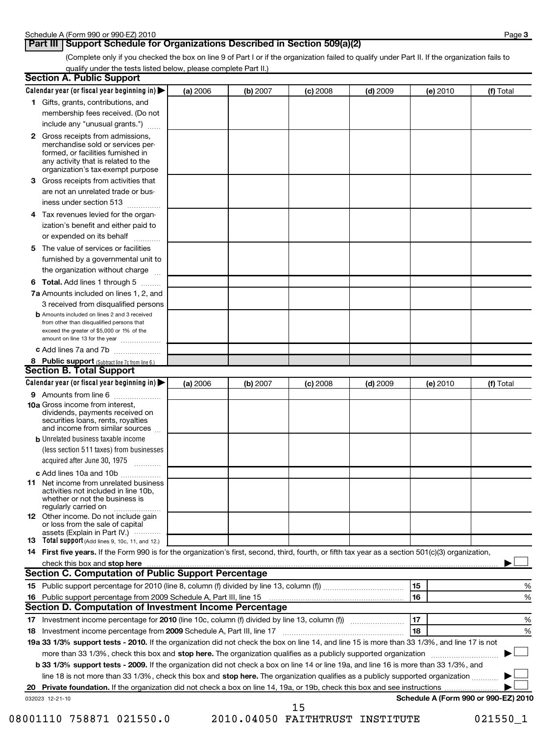## **Part III** Support Schedule for Organizations Described in Section 509(a)(2)

(Complete only if you checked the box on line 9 of Part I or if the organization failed to qualify under Part II. If the organization fails to qualify under the tests listed below, please complete Part II.)

| <b>Section A. Public Support</b>                                                                                                                                                                                               |          |          |            |            |                                      |           |
|--------------------------------------------------------------------------------------------------------------------------------------------------------------------------------------------------------------------------------|----------|----------|------------|------------|--------------------------------------|-----------|
| Calendar year (or fiscal year beginning in)                                                                                                                                                                                    | (a) 2006 | (b) 2007 | $(c)$ 2008 | $(d)$ 2009 | (e) 2010                             | (f) Total |
| 1 Gifts, grants, contributions, and                                                                                                                                                                                            |          |          |            |            |                                      |           |
| membership fees received. (Do not                                                                                                                                                                                              |          |          |            |            |                                      |           |
| include any "unusual grants.")                                                                                                                                                                                                 |          |          |            |            |                                      |           |
| <b>2</b> Gross receipts from admissions,<br>merchandise sold or services per-<br>formed, or facilities furnished in<br>any activity that is related to the<br>organization's tax-exempt purpose                                |          |          |            |            |                                      |           |
| 3 Gross receipts from activities that<br>are not an unrelated trade or bus-                                                                                                                                                    |          |          |            |            |                                      |           |
| iness under section 513                                                                                                                                                                                                        |          |          |            |            |                                      |           |
| Tax revenues levied for the organ-<br>4<br>ization's benefit and either paid to<br>or expended on its behalf                                                                                                                   |          |          |            |            |                                      |           |
| 5 The value of services or facilities                                                                                                                                                                                          |          |          |            |            |                                      |           |
| furnished by a governmental unit to<br>the organization without charge                                                                                                                                                         |          |          |            |            |                                      |           |
| <b>6 Total.</b> Add lines 1 through 5                                                                                                                                                                                          |          |          |            |            |                                      |           |
| 7a Amounts included on lines 1, 2, and<br>3 received from disqualified persons                                                                                                                                                 |          |          |            |            |                                      |           |
| <b>b</b> Amounts included on lines 2 and 3 received<br>from other than disqualified persons that<br>exceed the greater of \$5,000 or 1% of the<br>amount on line 13 for the year                                               |          |          |            |            |                                      |           |
| c Add lines 7a and 7b                                                                                                                                                                                                          |          |          |            |            |                                      |           |
| 8 Public support (Subtract line 7c from line 6.)                                                                                                                                                                               |          |          |            |            |                                      |           |
| <b>Section B. Total Support</b>                                                                                                                                                                                                |          |          |            |            |                                      |           |
| Calendar year (or fiscal year beginning in)                                                                                                                                                                                    | (a) 2006 | (b) 2007 | $(c)$ 2008 | $(d)$ 2009 | (e) 2010                             | (f) Total |
| 9 Amounts from line 6                                                                                                                                                                                                          |          |          |            |            |                                      |           |
| <b>10a</b> Gross income from interest,<br>dividends, payments received on<br>securities loans, rents, royalties<br>and income from similar sources                                                                             |          |          |            |            |                                      |           |
| <b>b</b> Unrelated business taxable income                                                                                                                                                                                     |          |          |            |            |                                      |           |
| (less section 511 taxes) from businesses<br>acquired after June 30, 1975                                                                                                                                                       |          |          |            |            |                                      |           |
| c Add lines 10a and 10b                                                                                                                                                                                                        |          |          |            |            |                                      |           |
| <b>11</b> Net income from unrelated business<br>activities not included in line 10b,<br>whether or not the business is<br>regularly carried on                                                                                 |          |          |            |            |                                      |           |
| 12 Other income. Do not include gain<br>or loss from the sale of capital<br>assets (Explain in Part IV.)                                                                                                                       |          |          |            |            |                                      |           |
| 13 Total support (Add lines 9, 10c, 11, and 12.)                                                                                                                                                                               |          |          |            |            |                                      |           |
| 14 First five years. If the Form 990 is for the organization's first, second, third, fourth, or fifth tax year as a section 501(c)(3) organization,                                                                            |          |          |            |            |                                      |           |
| check this box and stop here manufactured and content to the state of the state of the state of the state of the state of the state of the state of the state of the state of the state of the state of the state of the state |          |          |            |            |                                      |           |
| Section C. Computation of Public Support Percentage                                                                                                                                                                            |          |          |            |            |                                      |           |
|                                                                                                                                                                                                                                |          |          |            |            | 15                                   | %         |
|                                                                                                                                                                                                                                |          |          |            |            | 16                                   | %         |
| Section D. Computation of Investment Income Percentage                                                                                                                                                                         |          |          |            |            |                                      |           |
|                                                                                                                                                                                                                                |          |          |            |            | 17                                   | %         |
| 18 Investment income percentage from 2009 Schedule A, Part III, line 17                                                                                                                                                        |          |          |            |            | 18                                   | %         |
| 19a 33 1/3% support tests - 2010. If the organization did not check the box on line 14, and line 15 is more than 33 1/3%, and line 17 is not                                                                                   |          |          |            |            |                                      |           |
| more than 33 1/3%, check this box and stop here. The organization qualifies as a publicly supported organization                                                                                                               |          |          |            |            |                                      |           |
| b 33 1/3% support tests - 2009. If the organization did not check a box on line 14 or line 19a, and line 16 is more than 33 1/3%, and                                                                                          |          |          |            |            |                                      |           |
| line 18 is not more than 33 1/3%, check this box and stop here. The organization qualifies as a publicly supported organization                                                                                                |          |          |            |            |                                      |           |
| 20                                                                                                                                                                                                                             |          |          |            |            |                                      |           |
| 032023 12-21-10                                                                                                                                                                                                                |          |          | 15         |            | Schedule A (Form 990 or 990-EZ) 2010 |           |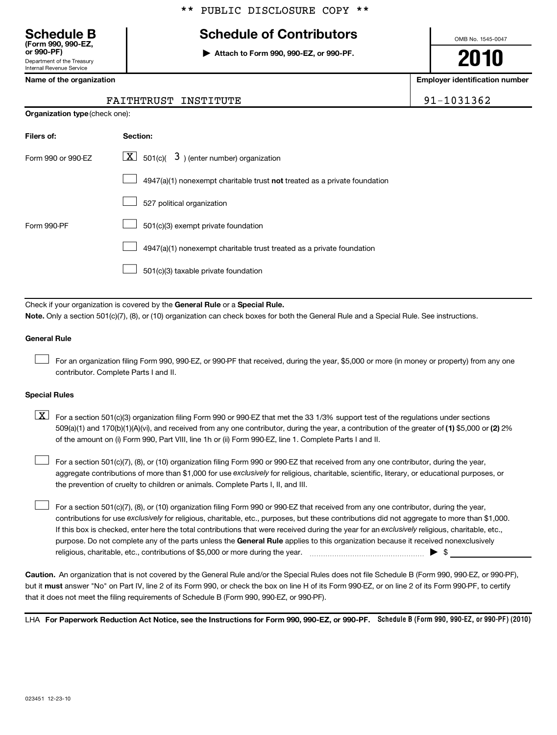## **Schedule B Schedule of Contributors**

**or 990-PF) | Attach to Form 990, 990-EZ, or 990-PF.**

OMB No. 1545-0047

**2010**

**Name of the organization Employer identification number**

| Name of the organization |  |
|--------------------------|--|
|                          |  |

Department of the Treasury Internal Revenue Service

**(Form 990, 990-EZ,**

FAITHTRUST INSTITUTE **12000** 12000 12000 12000 1362

| Filers of:         | <b>Section:</b>                                                                    |
|--------------------|------------------------------------------------------------------------------------|
| Form 990 or 990-EZ | $\lfloor \underline{X} \rfloor$ 501(c)( 3) (enter number) organization             |
|                    | $4947(a)(1)$ nonexempt charitable trust <b>not</b> treated as a private foundation |
|                    | 527 political organization                                                         |
| Form 990-PF        | 501(c)(3) exempt private foundation                                                |
|                    | 4947(a)(1) nonexempt charitable trust treated as a private foundation              |
|                    | 501(c)(3) taxable private foundation                                               |

Check if your organization is covered by the General Rule or a Special Rule. **Note.**  Only a section 501(c)(7), (8), or (10) organization can check boxes for both the General Rule and a Special Rule. See instructions.

## **General Rule**

For an organization filing Form 990, 990-EZ, or 990-PF that received, during the year, \$5,000 or more (in money or property) from any one contributor. Complete Parts I and II.  $\pm$ 

### **Special Rules**

509(a)(1) and 170(b)(1)(A)(vi), and received from any one contributor, during the year, a contribution of the greater of (1) \$5,000 or (2) 2%  $\boxed{\textbf{X}}$  For a section 501(c)(3) organization filing Form 990 or 990-EZ that met the 33 1/3% support test of the regulations under sections of the amount on (i) Form 990, Part VIII, line 1h or (ii) Form 990-EZ, line 1. Complete Parts I and II.

aggregate contributions of more than \$1,000 for use exclusively for religious, charitable, scientific, literary, or educational purposes, or For a section 501(c)(7), (8), or (10) organization filing Form 990 or 990-EZ that received from any one contributor, during the year, the prevention of cruelty to children or animals. Complete Parts I, II, and III.  $\left\vert \cdot\right\vert$ 

purpose. Do not complete any of the parts unless the General Rule applies to this organization because it received nonexclusively contributions for use exclusively for religious, charitable, etc., purposes, but these contributions did not aggregate to more than \$1,000. If this box is checked, enter here the total contributions that were received during the year for an exclusively religious, charitable, etc., For a section 501(c)(7), (8), or (10) organization filing Form 990 or 990-EZ that received from any one contributor, during the year, religious, charitable, etc., contributions of \$5,000 or more during the year. ~~~~~~~~~~~~~~~~~ | \$  $\left\vert \cdot\right\vert$ 

**Caution.** An organization that is not covered by the General Rule and/or the Special Rules does not file Schedule B (Form 990, 990-EZ, or 990-PF), but it **must** answer "No" on Part IV, line 2 of its Form 990, or check the box on line H of its Form 990-EZ, or on line 2 of its Form 990-PF, to certify that it does not meet the filing requirements of Schedule B (Form 990, 990-EZ, or 990-PF).

LHA For Paperwork Reduction Act Notice, see the Instructions for Form 990, 990-EZ, or 990-PF. Schedule B (Form 990, 990-EZ, or 990-PF) (2010)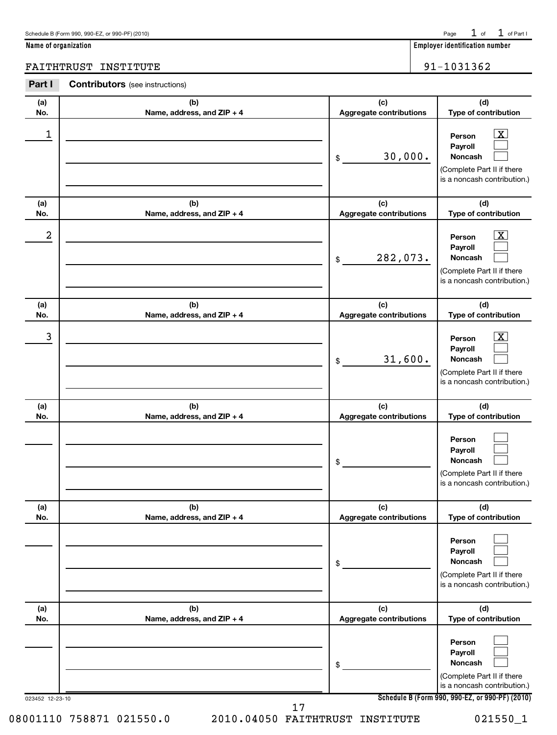| 1               |                                   | 30,000.<br>\$                         | X<br>Person<br>Payroll<br>Noncash<br>(Complete Part II if there<br>is a noncash contribution.)                                               |
|-----------------|-----------------------------------|---------------------------------------|----------------------------------------------------------------------------------------------------------------------------------------------|
| (a)<br>No.      | (b)<br>Name, address, and ZIP + 4 | (c)<br>Aggregate contributions        | (d)<br>Type of contribution                                                                                                                  |
| $\overline{a}$  |                                   | 282,073.<br>\$                        | $\overline{\mathbf{X}}$<br>Person<br>Payroll<br>Noncash<br>(Complete Part II if there<br>is a noncash contribution.)                         |
| (a)<br>No.      | (b)<br>Name, address, and ZIP + 4 | (c)<br>Aggregate contributions        | (d)<br>Type of contribution                                                                                                                  |
| 3               |                                   | 31,600.<br>\$                         | $\mathbf{X}$<br>Person<br>Payroll<br>Noncash<br>(Complete Part II if there<br>is a noncash contribution.)                                    |
| (a)<br>No.      | (b)<br>Name, address, and ZIP + 4 | (c)<br>Aggregate contributions        | (d)<br>Type of contribution                                                                                                                  |
|                 |                                   | \$                                    | Person<br>Payroll<br>Noncash<br>(Complete Part II if there<br>is a noncash contribution.)                                                    |
| (a)<br>No.      | (b)<br>Name, address, and ZIP + 4 | (c)<br><b>Aggregate contributions</b> | (d)<br>Type of contribution                                                                                                                  |
|                 |                                   | \$                                    | Person<br>Payroll<br>Noncash<br>(Complete Part II if there<br>is a noncash contribution.)                                                    |
| (a)<br>No.      | (b)<br>Name, address, and ZIP + 4 | (c)<br><b>Aggregate contributions</b> | (d)<br>Type of contribution                                                                                                                  |
| 023452 12-23-10 |                                   | \$                                    | Person<br>Payroll<br>Noncash<br>(Complete Part II if there<br>is a noncash contribution.)<br>Schedule B (Form 990, 990-EZ, or 990-PF) (2010) |
|                 | 17                                |                                       |                                                                                                                                              |

**(a) No.**  $1$  of  $1$  of Part I

**(d) Type of contribution**

**Name of organization Employer identification number**

**(c) Aggregate contributions**

FAITHTRUST INSTITUTE 91-1031362

**Part I Contributors** (see instructions)

**(b) Name, address, and ZIP + 4**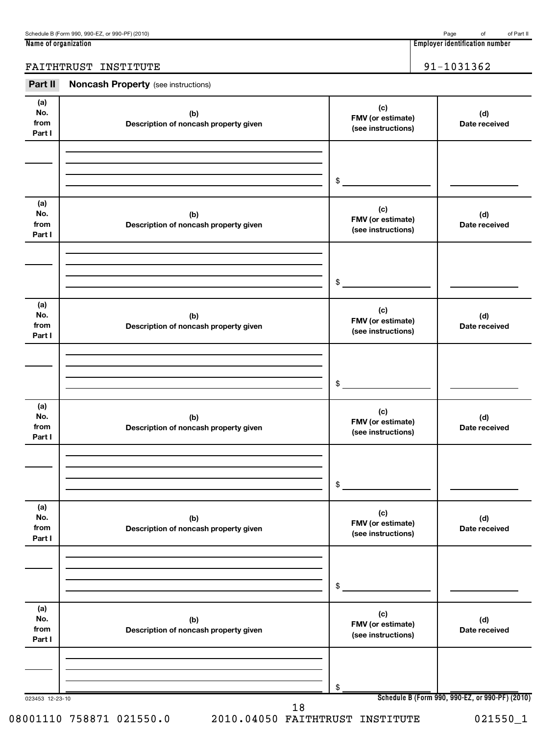**Name of organization Employer identification number**

## FAITHTRUST INSTITUTE 91-1031362

| Part II                      | <b>Noncash Property</b> (see instructions)   |                                                |                                                 |
|------------------------------|----------------------------------------------|------------------------------------------------|-------------------------------------------------|
| (a)<br>No.<br>from<br>Part I | (b)<br>Description of noncash property given | (c)<br>FMV (or estimate)<br>(see instructions) | (d)<br>Date received                            |
|                              |                                              |                                                |                                                 |
|                              |                                              | $\frac{1}{2}$                                  |                                                 |
| (a)<br>No.<br>from<br>Part I | (b)<br>Description of noncash property given | (c)<br>FMV (or estimate)<br>(see instructions) | (d)<br>Date received                            |
|                              |                                              |                                                |                                                 |
|                              |                                              | \$                                             |                                                 |
| (a)<br>No.<br>from<br>Part I | (b)<br>Description of noncash property given | (c)<br>FMV (or estimate)<br>(see instructions) | (d)<br>Date received                            |
|                              |                                              |                                                |                                                 |
|                              |                                              | \$                                             |                                                 |
| (a)<br>No.<br>from<br>Part I | (b)<br>Description of noncash property given | (c)<br>FMV (or estimate)<br>(see instructions) | (d)<br>Date received                            |
|                              |                                              |                                                |                                                 |
|                              |                                              | \$                                             |                                                 |
| (a)<br>No.<br>from<br>Part I | (b)<br>Description of noncash property given | (c)<br>FMV (or estimate)<br>(see instructions) | (d)<br>Date received                            |
|                              |                                              |                                                |                                                 |
|                              |                                              | \$                                             |                                                 |
| (a)<br>No.<br>from<br>Part I | (b)<br>Description of noncash property given | (c)<br>FMV (or estimate)<br>(see instructions) | (d)<br>Date received                            |
|                              |                                              |                                                |                                                 |
|                              |                                              | \$                                             |                                                 |
| 023453 12-23-10              | 18                                           |                                                | Schedule B (Form 990, 990-EZ, or 990-PF) (2010) |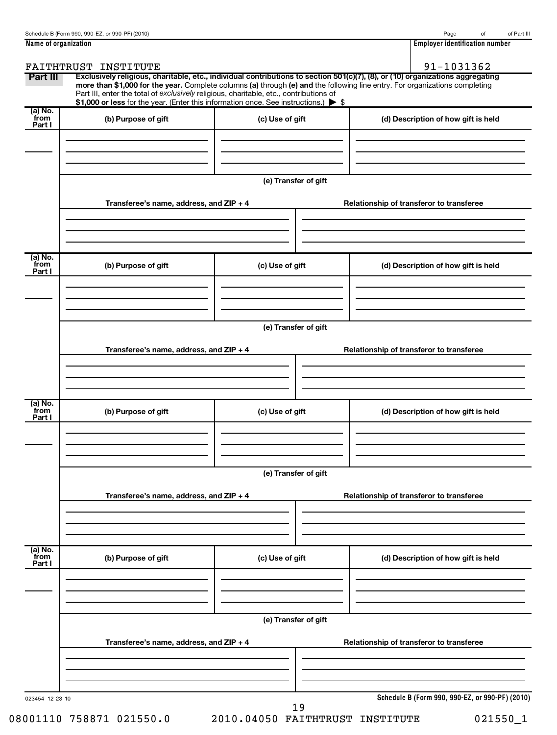|                           | Schedule B (Form 990, 990-EZ, or 990-PF) (2010)                                                                                                                               |                      | of Part III<br>Page<br>of                                                                                                                                                                                                                                     |  |  |
|---------------------------|-------------------------------------------------------------------------------------------------------------------------------------------------------------------------------|----------------------|---------------------------------------------------------------------------------------------------------------------------------------------------------------------------------------------------------------------------------------------------------------|--|--|
| Name of organization      |                                                                                                                                                                               |                      | <b>Employer identification number</b>                                                                                                                                                                                                                         |  |  |
|                           | FAITHTRUST INSTITUTE                                                                                                                                                          |                      | 91-1031362                                                                                                                                                                                                                                                    |  |  |
| Part III                  | Part III, enter the total of exclusively religious, charitable, etc., contributions of<br>\$1,000 or less for the year. (Enter this information once. See instructions.) > \$ |                      | Exclusively religious, charitable, etc., individual contributions to section 501(c)(7), (8), or (10) organizations aggregating<br>more than \$1,000 for the year. Complete columns (a) through (e) and the following line entry. For organizations completing |  |  |
| (a) No.<br>from<br>Part I | (b) Purpose of gift                                                                                                                                                           | (c) Use of gift      | (d) Description of how gift is held                                                                                                                                                                                                                           |  |  |
|                           |                                                                                                                                                                               |                      |                                                                                                                                                                                                                                                               |  |  |
|                           |                                                                                                                                                                               | (e) Transfer of gift |                                                                                                                                                                                                                                                               |  |  |
|                           | Transferee's name, address, and ZIP + 4                                                                                                                                       |                      | Relationship of transferor to transferee                                                                                                                                                                                                                      |  |  |
| (a) No.<br>from<br>Part I | (b) Purpose of gift                                                                                                                                                           | (c) Use of gift      | (d) Description of how gift is held                                                                                                                                                                                                                           |  |  |
|                           |                                                                                                                                                                               | (e) Transfer of gift |                                                                                                                                                                                                                                                               |  |  |
|                           | Transferee's name, address, and ZIP + 4                                                                                                                                       |                      | Relationship of transferor to transferee                                                                                                                                                                                                                      |  |  |
| (a) No.<br>from<br>Part I | (b) Purpose of gift                                                                                                                                                           | (c) Use of gift      | (d) Description of how gift is held                                                                                                                                                                                                                           |  |  |
|                           |                                                                                                                                                                               | (e) Transfer of gift |                                                                                                                                                                                                                                                               |  |  |
|                           | Transferee's name, address, and ZIP + 4                                                                                                                                       |                      | Relationship of transferor to transferee                                                                                                                                                                                                                      |  |  |
| (a) No.<br>from<br>Part I | (b) Purpose of gift                                                                                                                                                           | (c) Use of gift      | (d) Description of how gift is held                                                                                                                                                                                                                           |  |  |
|                           |                                                                                                                                                                               |                      |                                                                                                                                                                                                                                                               |  |  |
|                           | Transferee's name, address, and ZIP + 4                                                                                                                                       | (e) Transfer of gift | Relationship of transferor to transferee                                                                                                                                                                                                                      |  |  |
|                           |                                                                                                                                                                               |                      |                                                                                                                                                                                                                                                               |  |  |

**Schedule B (Form 990, 990-EZ, or 990-PF) (2010)**

08001110 758871 021550.0 2010.04050 FAITHTRUST INSTITUTE 021550\_1

19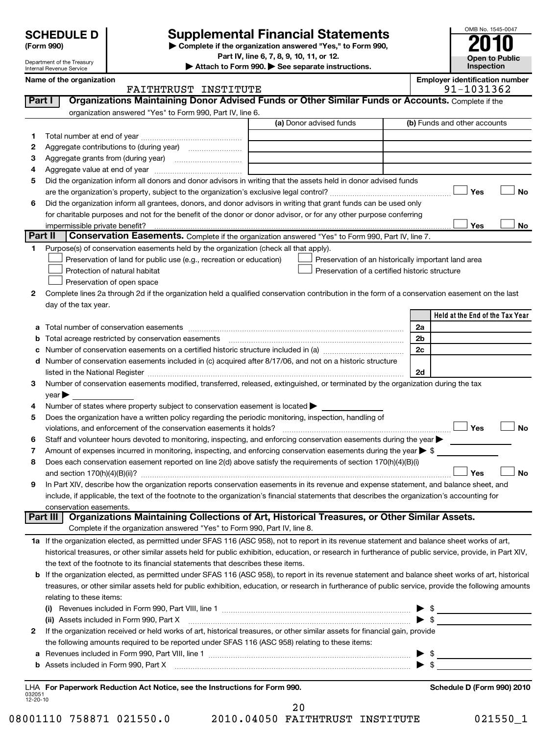| <b>SCHEDULE D</b> |  |
|-------------------|--|
|                   |  |

Department of the Treasury Internal Revenue Service

## **Supplemental Financial Statements**

**(Form 990) | Complete if the organization answered "Yes," to Form 990,**

**Part IV, line 6, 7, 8, 9, 10, 11, or 12.**

**| Attach to Form 990. | See separate instructions.**

| OMB No. 1545-0047     |
|-----------------------|
| 010                   |
|                       |
| <b>Open to Public</b> |
| Inspection            |

**Name of the organization Employer identification number**

|                    | FAITHTRUST INSTITUTE                                                                                                                                                          | 91-1031362                                          |
|--------------------|-------------------------------------------------------------------------------------------------------------------------------------------------------------------------------|-----------------------------------------------------|
| Part I             | Organizations Maintaining Donor Advised Funds or Other Similar Funds or Accounts. Complete if the                                                                             |                                                     |
|                    | organization answered "Yes" to Form 990, Part IV, line 6.                                                                                                                     |                                                     |
|                    | (a) Donor advised funds                                                                                                                                                       | (b) Funds and other accounts                        |
| 1                  |                                                                                                                                                                               |                                                     |
| 2                  |                                                                                                                                                                               |                                                     |
| 3                  |                                                                                                                                                                               |                                                     |
| 4                  |                                                                                                                                                                               |                                                     |
| 5                  | Did the organization inform all donors and donor advisors in writing that the assets held in donor advised funds                                                              |                                                     |
|                    |                                                                                                                                                                               | <b>No</b><br>Yes                                    |
| 6                  | Did the organization inform all grantees, donors, and donor advisors in writing that grant funds can be used only                                                             |                                                     |
|                    | for charitable purposes and not for the benefit of the donor or donor advisor, or for any other purpose conferring                                                            |                                                     |
|                    |                                                                                                                                                                               | Yes<br>No                                           |
| <b>Part II</b>     | Conservation Easements. Complete if the organization answered "Yes" to Form 990, Part IV, line 7.                                                                             |                                                     |
| 1.                 | Purpose(s) of conservation easements held by the organization (check all that apply).                                                                                         |                                                     |
|                    | Preservation of land for public use (e.g., recreation or education)                                                                                                           | Preservation of an historically important land area |
|                    | Preservation of a certified historic structure<br>Protection of natural habitat                                                                                               |                                                     |
|                    | Preservation of open space                                                                                                                                                    |                                                     |
| 2                  | Complete lines 2a through 2d if the organization held a qualified conservation contribution in the form of a conservation easement on the last                                |                                                     |
|                    | day of the tax year.                                                                                                                                                          |                                                     |
|                    |                                                                                                                                                                               | Held at the End of the Tax Year                     |
| а                  |                                                                                                                                                                               | 2a                                                  |
|                    |                                                                                                                                                                               | 2 <sub>b</sub>                                      |
|                    | Number of conservation easements on a certified historic structure included in (a) manufacture included in (a)                                                                | 2c                                                  |
|                    | Number of conservation easements included in (c) acquired after 8/17/06, and not on a historic structure                                                                      |                                                     |
|                    |                                                                                                                                                                               | 2d                                                  |
| 3                  | Number of conservation easements modified, transferred, released, extinguished, or terminated by the organization during the tax                                              |                                                     |
|                    |                                                                                                                                                                               |                                                     |
|                    | $\vee$ ear $\blacktriangleright$                                                                                                                                              |                                                     |
| 4                  | Number of states where property subject to conservation easement is located >                                                                                                 |                                                     |
| 5                  | Does the organization have a written policy regarding the periodic monitoring, inspection, handling of<br>violations, and enforcement of the conservation easements it holds? | Yes<br><b>No</b>                                    |
|                    | Staff and volunteer hours devoted to monitoring, inspecting, and enforcing conservation easements during the year                                                             |                                                     |
| 6<br>7             | Amount of expenses incurred in monitoring, inspecting, and enforcing conservation easements during the year $\triangleright$ \$                                               |                                                     |
| 8                  | Does each conservation easement reported on line 2(d) above satisfy the requirements of section 170(h)(4)(B)(i)                                                               |                                                     |
|                    |                                                                                                                                                                               | <b>No</b><br>Yes                                    |
|                    |                                                                                                                                                                               |                                                     |
| 9                  | In Part XIV, describe how the organization reports conservation easements in its revenue and expense statement, and balance sheet, and                                        |                                                     |
|                    | include, if applicable, the text of the footnote to the organization's financial statements that describes the organization's accounting for                                  |                                                     |
|                    | conservation easements.<br>Organizations Maintaining Collections of Art, Historical Treasures, or Other Similar Assets.<br><b>Part III</b>                                    |                                                     |
|                    | Complete if the organization answered "Yes" to Form 990, Part IV, line 8.                                                                                                     |                                                     |
|                    | 1a If the organization elected, as permitted under SFAS 116 (ASC 958), not to report in its revenue statement and balance sheet works of art,                                 |                                                     |
|                    | historical treasures, or other similar assets held for public exhibition, education, or research in furtherance of public service, provide, in Part XIV,                      |                                                     |
|                    | the text of the footnote to its financial statements that describes these items.                                                                                              |                                                     |
|                    | If the organization elected, as permitted under SFAS 116 (ASC 958), to report in its revenue statement and balance sheet works of art, historical                             |                                                     |
|                    | treasures, or other similar assets held for public exhibition, education, or research in furtherance of public service, provide the following amounts                         |                                                     |
|                    | relating to these items:                                                                                                                                                      |                                                     |
|                    |                                                                                                                                                                               |                                                     |
|                    | (ii) Assets included in Form 990, Part X                                                                                                                                      | $\triangleright$ \$                                 |
|                    | If the organization received or held works of art, historical treasures, or other similar assets for financial gain, provide                                                  |                                                     |
| 2                  |                                                                                                                                                                               |                                                     |
|                    | the following amounts required to be reported under SFAS 116 (ASC 958) relating to these items:                                                                               |                                                     |
| а                  |                                                                                                                                                                               | \$                                                  |
|                    | Assets included in Form 990, Part X                                                                                                                                           |                                                     |
|                    |                                                                                                                                                                               |                                                     |
| 032051<br>12-20-10 | LHA For Paperwork Reduction Act Notice, see the Instructions for Form 990.                                                                                                    | Schedule D (Form 990) 2010                          |

08001110 758871 021550.0 2010.04050 FAITHTRUST INSTITUTE 021550\_1

20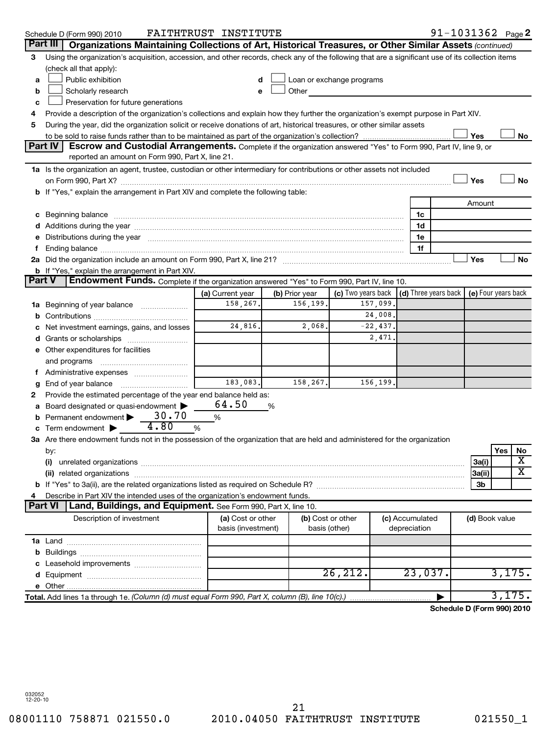|               | Schedule D (Form 990) 2010                                                                                                                                                                                                                                      | FAITHTRUST INSTITUTE                    |                |                                    |                                 | $91 - 1031362$ Page 2      |                |                     |
|---------------|-----------------------------------------------------------------------------------------------------------------------------------------------------------------------------------------------------------------------------------------------------------------|-----------------------------------------|----------------|------------------------------------|---------------------------------|----------------------------|----------------|---------------------|
| Part III      | Organizations Maintaining Collections of Art, Historical Treasures, or Other Similar Assets (continued)                                                                                                                                                         |                                         |                |                                    |                                 |                            |                |                     |
| 3             | Using the organization's acquisition, accession, and other records, check any of the following that are a significant use of its collection items<br>(check all that apply):<br>Public exhibition                                                               | d                                       |                | Loan or exchange programs          |                                 |                            |                |                     |
| a             |                                                                                                                                                                                                                                                                 |                                         | Other          |                                    |                                 |                            |                |                     |
| b             | Scholarly research                                                                                                                                                                                                                                              | e                                       |                |                                    |                                 |                            |                |                     |
| c             | Preservation for future generations                                                                                                                                                                                                                             |                                         |                |                                    |                                 |                            |                |                     |
| 4             | Provide a description of the organization's collections and explain how they further the organization's exempt purpose in Part XIV.<br>During the year, did the organization solicit or receive donations of art, historical treasures, or other similar assets |                                         |                |                                    |                                 |                            |                |                     |
| 5             |                                                                                                                                                                                                                                                                 |                                         |                |                                    |                                 |                            |                |                     |
|               | Part IV<br>Escrow and Custodial Arrangements. Complete if the organization answered "Yes" to Form 990, Part IV, line 9, or                                                                                                                                      |                                         |                |                                    |                                 |                            | Yes            | No                  |
|               | reported an amount on Form 990, Part X, line 21.                                                                                                                                                                                                                |                                         |                |                                    |                                 |                            |                |                     |
|               |                                                                                                                                                                                                                                                                 |                                         |                |                                    |                                 |                            |                |                     |
|               | 1a Is the organization an agent, trustee, custodian or other intermediary for contributions or other assets not included                                                                                                                                        |                                         |                |                                    |                                 |                            | Yes            | No                  |
|               |                                                                                                                                                                                                                                                                 |                                         |                |                                    |                                 |                            |                |                     |
|               | <b>b</b> If "Yes," explain the arrangement in Part XIV and complete the following table:                                                                                                                                                                        |                                         |                |                                    |                                 |                            |                |                     |
|               |                                                                                                                                                                                                                                                                 |                                         |                |                                    |                                 |                            | Amount         |                     |
| c             | Beginning balance <b>communications</b> and the contract of the contract of the contract of the contract of the contract of the contract of the contract of the contract of the contract of the contract of the contract of the con                             |                                         |                |                                    | 1c<br>1d                        |                            |                |                     |
|               |                                                                                                                                                                                                                                                                 |                                         |                |                                    | 1e                              |                            |                |                     |
|               | Distributions during the year manufactured and an account of the year manufactured and the year manufactured and the year manufactured and the year manufactured and the year manufactured and the year manufactured and the y                                  |                                         |                |                                    | 1f                              |                            |                |                     |
|               |                                                                                                                                                                                                                                                                 |                                         |                |                                    |                                 |                            | Yes            | No                  |
|               | <b>b</b> If "Yes," explain the arrangement in Part XIV.                                                                                                                                                                                                         |                                         |                |                                    |                                 |                            |                |                     |
| <b>Part V</b> | Endowment Funds. Complete if the organization answered "Yes" to Form 990, Part IV, line 10.                                                                                                                                                                     |                                         |                |                                    |                                 |                            |                |                     |
|               |                                                                                                                                                                                                                                                                 | (a) Current year                        | (b) Prior year | (c) Two years back                 | (d) Three years back            |                            |                | (e) Four years back |
|               | <b>1a</b> Beginning of year balance                                                                                                                                                                                                                             | 158,267.                                | 156,199.       | 157,099.                           |                                 |                            |                |                     |
|               |                                                                                                                                                                                                                                                                 |                                         |                | 24,008.                            |                                 |                            |                |                     |
|               | Net investment earnings, gains, and losses                                                                                                                                                                                                                      | 24,816.                                 | 2,068.         | $-22,437.$                         |                                 |                            |                |                     |
|               |                                                                                                                                                                                                                                                                 |                                         |                | 2,471                              |                                 |                            |                |                     |
|               | e Other expenditures for facilities                                                                                                                                                                                                                             |                                         |                |                                    |                                 |                            |                |                     |
|               | and programs                                                                                                                                                                                                                                                    |                                         |                |                                    |                                 |                            |                |                     |
| τ.            | Administrative expenses                                                                                                                                                                                                                                         |                                         |                |                                    |                                 |                            |                |                     |
| g             | End of year balance                                                                                                                                                                                                                                             | 183,083.                                | 158,267.       | 156,199.                           |                                 |                            |                |                     |
| 2             | Provide the estimated percentage of the year end balance held as:                                                                                                                                                                                               |                                         |                |                                    |                                 |                            |                |                     |
|               | Board designated or quasi-endowment                                                                                                                                                                                                                             | 64.50                                   | %              |                                    |                                 |                            |                |                     |
| b             | 30.70<br>Permanent endowment >                                                                                                                                                                                                                                  | %                                       |                |                                    |                                 |                            |                |                     |
|               | 4.80<br>Term endowment $\blacktriangleright$                                                                                                                                                                                                                    | %                                       |                |                                    |                                 |                            |                |                     |
|               | 3a Are there endowment funds not in the possession of the organization that are held and administered for the organization                                                                                                                                      |                                         |                |                                    |                                 |                            |                |                     |
|               | by:                                                                                                                                                                                                                                                             |                                         |                |                                    |                                 |                            |                | Yes<br><b>NO</b>    |
|               | (i)                                                                                                                                                                                                                                                             |                                         |                |                                    |                                 |                            | 3a(i)          | х                   |
|               |                                                                                                                                                                                                                                                                 |                                         |                |                                    |                                 |                            | 3a(ii)         | X                   |
|               |                                                                                                                                                                                                                                                                 |                                         |                |                                    |                                 |                            | 3b             |                     |
|               | Describe in Part XIV the intended uses of the organization's endowment funds.                                                                                                                                                                                   |                                         |                |                                    |                                 |                            |                |                     |
|               | <b>Part VI</b><br>Land, Buildings, and Equipment. See Form 990, Part X, line 10.                                                                                                                                                                                |                                         |                |                                    |                                 |                            |                |                     |
|               | Description of investment                                                                                                                                                                                                                                       | (a) Cost or other<br>basis (investment) |                | (b) Cost or other<br>basis (other) | (c) Accumulated<br>depreciation |                            | (d) Book value |                     |
|               |                                                                                                                                                                                                                                                                 |                                         |                |                                    |                                 |                            |                |                     |
|               |                                                                                                                                                                                                                                                                 |                                         |                |                                    |                                 |                            |                |                     |
|               |                                                                                                                                                                                                                                                                 |                                         |                |                                    |                                 |                            |                |                     |
|               |                                                                                                                                                                                                                                                                 |                                         |                | 26, 212.                           | 23,037.                         |                            |                | 3,175.              |
| е             |                                                                                                                                                                                                                                                                 |                                         |                |                                    |                                 |                            |                |                     |
|               | Total. Add lines 1a through 1e. (Column (d) must equal Form 990, Part X, column (B), line 10(c).)                                                                                                                                                               |                                         |                |                                    |                                 |                            |                | 3,175.              |
|               |                                                                                                                                                                                                                                                                 |                                         |                |                                    |                                 | Schedule D (Form 990) 2010 |                |                     |

**Schedule D (Form 990) 2010**

032052 12-20-10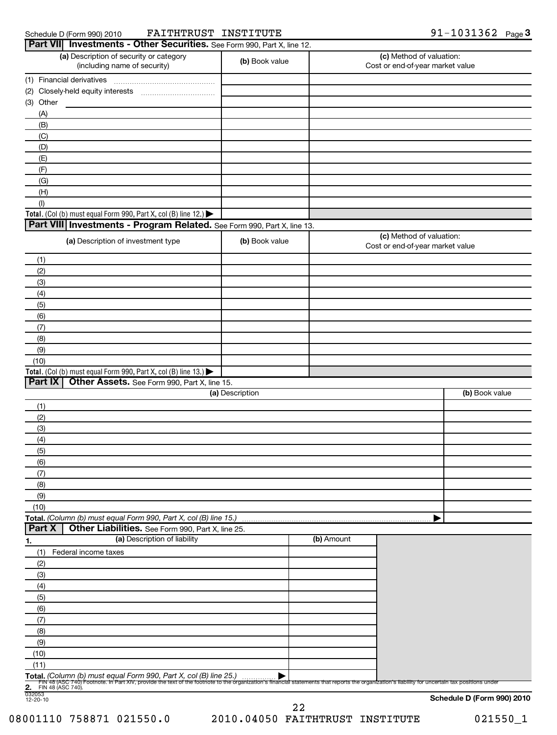| Schedule D (Form 990) 2010 |
|----------------------------|
|----------------------------|

#### Schedule D (Form 990) 2010 FAITHTRUST INSTITUTE 91-1031362 Page FAITHTRUST INSTITUTE 91-1031362

|                             | Part VII Investments - Other Securities. See Form 990, Part X, line 12.                                                                                                                                                                                               |                 |            |                                                              |                            |
|-----------------------------|-----------------------------------------------------------------------------------------------------------------------------------------------------------------------------------------------------------------------------------------------------------------------|-----------------|------------|--------------------------------------------------------------|----------------------------|
|                             | (a) Description of security or category<br>(including name of security)                                                                                                                                                                                               | (b) Book value  |            | (c) Method of valuation:<br>Cost or end-of-year market value |                            |
|                             | (1) Financial derivatives                                                                                                                                                                                                                                             |                 |            |                                                              |                            |
|                             |                                                                                                                                                                                                                                                                       |                 |            |                                                              |                            |
| (3) Other                   |                                                                                                                                                                                                                                                                       |                 |            |                                                              |                            |
| (A)                         |                                                                                                                                                                                                                                                                       |                 |            |                                                              |                            |
| (B)                         |                                                                                                                                                                                                                                                                       |                 |            |                                                              |                            |
| (C)                         |                                                                                                                                                                                                                                                                       |                 |            |                                                              |                            |
| (D)                         |                                                                                                                                                                                                                                                                       |                 |            |                                                              |                            |
| (E)                         |                                                                                                                                                                                                                                                                       |                 |            |                                                              |                            |
| (F)                         |                                                                                                                                                                                                                                                                       |                 |            |                                                              |                            |
| (G)                         |                                                                                                                                                                                                                                                                       |                 |            |                                                              |                            |
| (H)                         |                                                                                                                                                                                                                                                                       |                 |            |                                                              |                            |
| (1)                         | Total. (Col (b) must equal Form 990, Part X, col (B) line 12.)                                                                                                                                                                                                        |                 |            |                                                              |                            |
|                             | Part VIII Investments - Program Related. See Form 990, Part X, line 13.                                                                                                                                                                                               |                 |            |                                                              |                            |
|                             |                                                                                                                                                                                                                                                                       |                 |            | (c) Method of valuation:                                     |                            |
|                             | (a) Description of investment type                                                                                                                                                                                                                                    | (b) Book value  |            | Cost or end-of-year market value                             |                            |
| (1)<br>(2)                  |                                                                                                                                                                                                                                                                       |                 |            |                                                              |                            |
| (3)                         |                                                                                                                                                                                                                                                                       |                 |            |                                                              |                            |
| (4)                         |                                                                                                                                                                                                                                                                       |                 |            |                                                              |                            |
| (5)                         |                                                                                                                                                                                                                                                                       |                 |            |                                                              |                            |
| (6)                         |                                                                                                                                                                                                                                                                       |                 |            |                                                              |                            |
| (7)                         |                                                                                                                                                                                                                                                                       |                 |            |                                                              |                            |
| (8)                         |                                                                                                                                                                                                                                                                       |                 |            |                                                              |                            |
| (9)                         |                                                                                                                                                                                                                                                                       |                 |            |                                                              |                            |
| (10)                        |                                                                                                                                                                                                                                                                       |                 |            |                                                              |                            |
|                             | Total. (Col (b) must equal Form 990, Part X, col (B) line 13.)                                                                                                                                                                                                        |                 |            |                                                              |                            |
| Part IX                     | Other Assets. See Form 990, Part X, line 15.                                                                                                                                                                                                                          |                 |            |                                                              |                            |
|                             |                                                                                                                                                                                                                                                                       | (a) Description |            |                                                              | (b) Book value             |
| (1)                         |                                                                                                                                                                                                                                                                       |                 |            |                                                              |                            |
| (2)                         |                                                                                                                                                                                                                                                                       |                 |            |                                                              |                            |
| (3)                         |                                                                                                                                                                                                                                                                       |                 |            |                                                              |                            |
| (4)                         |                                                                                                                                                                                                                                                                       |                 |            |                                                              |                            |
| (5)                         |                                                                                                                                                                                                                                                                       |                 |            |                                                              |                            |
| (6)                         |                                                                                                                                                                                                                                                                       |                 |            |                                                              |                            |
| (7)<br>(8)                  |                                                                                                                                                                                                                                                                       |                 |            |                                                              |                            |
| (9)                         |                                                                                                                                                                                                                                                                       |                 |            |                                                              |                            |
| (10)                        |                                                                                                                                                                                                                                                                       |                 |            |                                                              |                            |
|                             | Total. (Column (b) must equal Form 990, Part X, col (B) line 15.)                                                                                                                                                                                                     |                 |            |                                                              |                            |
| Part X                      | Other Liabilities. See Form 990, Part X, line 25.                                                                                                                                                                                                                     |                 |            |                                                              |                            |
| <u>1.</u>                   | (a) Description of liability                                                                                                                                                                                                                                          |                 | (b) Amount |                                                              |                            |
| (1)                         | Federal income taxes                                                                                                                                                                                                                                                  |                 |            |                                                              |                            |
| (2)                         |                                                                                                                                                                                                                                                                       |                 |            |                                                              |                            |
| (3)                         |                                                                                                                                                                                                                                                                       |                 |            |                                                              |                            |
| (4)                         |                                                                                                                                                                                                                                                                       |                 |            |                                                              |                            |
| (5)                         |                                                                                                                                                                                                                                                                       |                 |            |                                                              |                            |
| (6)                         |                                                                                                                                                                                                                                                                       |                 |            |                                                              |                            |
| (7)                         |                                                                                                                                                                                                                                                                       |                 |            |                                                              |                            |
| (8)                         |                                                                                                                                                                                                                                                                       |                 |            |                                                              |                            |
| (9)                         |                                                                                                                                                                                                                                                                       |                 |            |                                                              |                            |
| (10)                        |                                                                                                                                                                                                                                                                       |                 |            |                                                              |                            |
| (11)                        |                                                                                                                                                                                                                                                                       |                 |            |                                                              |                            |
|                             | Total. (Column (b) must equal Form 990, Part X, col (B) line 25.)<br>Fily 48 (ASC 740) Footnote. In Part XIV, provide the text of the footnote to the organization's financial statements that reports the organization's liability for uncertain tax positions under |                 |            |                                                              |                            |
| 2. FIN<br>FIN 48 (ASC 740). |                                                                                                                                                                                                                                                                       |                 |            |                                                              |                            |
|                             |                                                                                                                                                                                                                                                                       |                 |            |                                                              | Schedule D (Form 990) 2010 |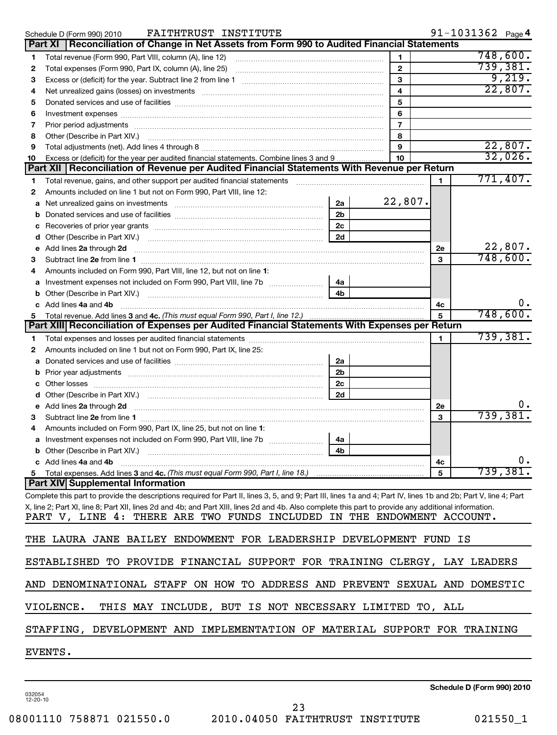|    | FAITHTRUST INSTITUTE<br>Schedule D (Form 990) 2010                                                                                                               |                |                          |    | 91-1031362 Page 4 |                        |
|----|------------------------------------------------------------------------------------------------------------------------------------------------------------------|----------------|--------------------------|----|-------------------|------------------------|
|    | Part XI   Reconciliation of Change in Net Assets from Form 990 to Audited Financial Statements                                                                   |                |                          |    |                   |                        |
| 1  | Total revenue (Form 990, Part VIII, column (A), line 12)                                                                                                         |                | 1                        |    |                   | 748,600.               |
| 2  |                                                                                                                                                                  |                | $\mathbf{2}$             |    |                   | 739,381.               |
| З  |                                                                                                                                                                  |                | 3                        |    |                   | 9,219.                 |
| 4  |                                                                                                                                                                  |                | 4                        |    |                   | 22,807.                |
| 5  |                                                                                                                                                                  |                | 5                        |    |                   |                        |
| 6  |                                                                                                                                                                  |                | 6                        |    |                   |                        |
| 7  |                                                                                                                                                                  |                | $\overline{\phantom{a}}$ |    |                   |                        |
| 8  |                                                                                                                                                                  |                | 8                        |    |                   |                        |
| 9  |                                                                                                                                                                  |                | 9                        |    |                   | $\overline{22}$ , 807. |
| 10 | Excess or (deficit) for the year per audited financial statements. Combine lines 3 and 9                                                                         |                | 10                       |    |                   | 32,026.                |
|    | Part XII   Reconciliation of Revenue per Audited Financial Statements With Revenue per Return                                                                    |                |                          |    |                   |                        |
| 1  | Total revenue, gains, and other support per audited financial statements                                                                                         |                |                          | 1. |                   | 771,407.               |
| 2  | Amounts included on line 1 but not on Form 990, Part VIII, line 12:                                                                                              |                |                          |    |                   |                        |
| a  | Net unrealized gains on investments [11] Martin Martin Martin Martin Martin Martin Martin Martin Martin Martin                                                   | 2a             | 22,807.                  |    |                   |                        |
| b  |                                                                                                                                                                  | 2 <sub>b</sub> |                          |    |                   |                        |
| с  |                                                                                                                                                                  | 2c             |                          |    |                   |                        |
|    |                                                                                                                                                                  | 2d             |                          |    |                   |                        |
| е  | Add lines 2a through 2d                                                                                                                                          |                |                          | 2e |                   | 22,807.                |
| з  |                                                                                                                                                                  |                |                          | 3  |                   | 748,600.               |
| 4  | Amounts included on Form 990, Part VIII, line 12, but not on line 1:                                                                                             |                |                          |    |                   |                        |
| a  |                                                                                                                                                                  | 4a             |                          |    |                   |                        |
|    |                                                                                                                                                                  | 4 <sub>b</sub> |                          |    |                   |                        |
|    | c Add lines 4a and 4b                                                                                                                                            |                |                          | 4с |                   | υ.                     |
| 5  |                                                                                                                                                                  |                |                          | 5  |                   | 748,600.               |
|    | Part XIII Reconciliation of Expenses per Audited Financial Statements With Expenses per Return                                                                   |                |                          |    |                   |                        |
| 1  |                                                                                                                                                                  |                |                          | 1  |                   | 739,381.               |
| 2  | Amounts included on line 1 but not on Form 990, Part IX, line 25:                                                                                                |                |                          |    |                   |                        |
| a  |                                                                                                                                                                  | 2a             |                          |    |                   |                        |
| b  |                                                                                                                                                                  | 2 <sub>b</sub> |                          |    |                   |                        |
| c  |                                                                                                                                                                  | 2c             |                          |    |                   |                        |
|    |                                                                                                                                                                  | 2d             |                          |    |                   |                        |
|    | e Add lines 2a through 2d                                                                                                                                        |                |                          | 2e |                   |                        |
| з  |                                                                                                                                                                  |                |                          | 3  |                   | 739,381.               |
| 4  | Amounts included on Form 990, Part IX, line 25, but not on line 1:                                                                                               |                |                          |    |                   |                        |
|    |                                                                                                                                                                  | 4a             |                          |    |                   |                        |
|    |                                                                                                                                                                  | 4b             |                          |    |                   |                        |
|    | c Add lines 4a and 4b                                                                                                                                            |                |                          | 4c |                   | 0.                     |
|    | 5 Total expenses. Add lines 3 and 4c. (This must equal Form 990, Part I, line 18.)                                                                               |                |                          | 5  |                   | 739,381.               |
|    | Part XIV Supplemental Information                                                                                                                                |                |                          |    |                   |                        |
|    | Complete this part to provide the descriptions required for Part II, lines 3, 5, and 9; Part III, lines 1a and 4; Part IV, lines 1b and 2b; Part V, line 4; Part |                |                          |    |                   |                        |
|    | X, line 2; Part XI, line 8; Part XII, lines 2d and 4b; and Part XIII, lines 2d and 4b. Also complete this part to provide any additional information.            |                |                          |    |                   |                        |
|    | PART V, LINE 4: THERE ARE TWO FUNDS INCLUDED IN THE ENDOWMENT ACCOUNT.                                                                                           |                |                          |    |                   |                        |
|    |                                                                                                                                                                  |                |                          |    |                   |                        |
|    | THE LAURA JANE BAILEY ENDOWMENT FOR LEADERSHIP DEVELOPMENT FUND IS                                                                                               |                |                          |    |                   |                        |
|    | ESTABLISHED TO PROVIDE FINANCIAL SUPPORT FOR TRAINING CLERGY, LAY LEADERS                                                                                        |                |                          |    |                   |                        |
|    | AND DENOMINATIONAL STAFF ON HOW TO ADDRESS AND PREVENT SEXUAL AND                                                                                                |                |                          |    | DOMESTIC          |                        |
|    | <b>VIOLENCE.</b><br>THIS MAY INCLUDE, BUT IS NOT NECESSARY LIMITED TO, ALL                                                                                       |                |                          |    |                   |                        |
|    | DEVELOPMENT AND IMPLEMENTATION OF MATERIAL SUPPORT FOR TRAINING<br>STAFFING,                                                                                     |                |                          |    |                   |                        |
|    | EVENTS.                                                                                                                                                          |                |                          |    |                   |                        |
|    |                                                                                                                                                                  |                |                          |    |                   |                        |
|    |                                                                                                                                                                  |                |                          |    |                   |                        |

032054 12-20-10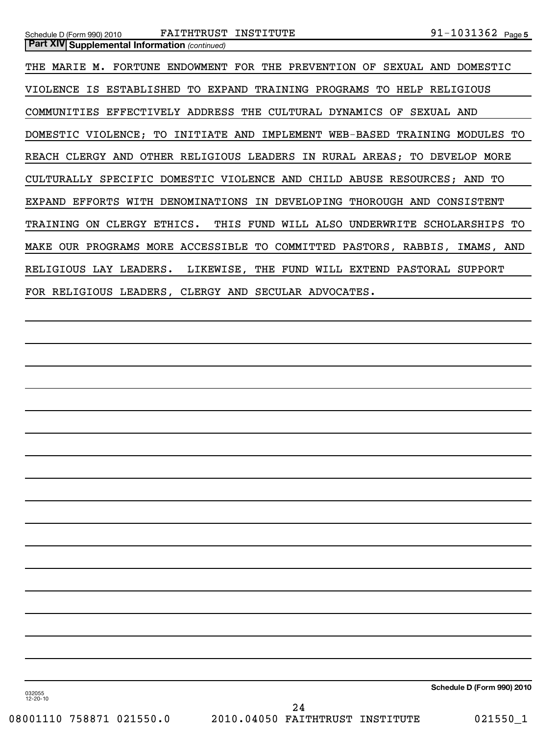THE MARIE M. FORTUNE ENDOWMENT FOR THE PREVENTION OF SEXUAL AND DOMESTIC VIOLENCE IS ESTABLISHED TO EXPAND TRAINING PROGRAMS TO HELP RELIGIOUS COMMUNITIES EFFECTIVELY ADDRESS THE CULTURAL DYNAMICS OF SEXUAL AND DOMESTIC VIOLENCE; TO INITIATE AND IMPLEMENT WEB-BASED TRAINING MODULES TO REACH CLERGY AND OTHER RELIGIOUS LEADERS IN RURAL AREAS; TO DEVELOP MORE CULTURALLY SPECIFIC DOMESTIC VIOLENCE AND CHILD ABUSE RESOURCES; AND TO EXPAND EFFORTS WITH DENOMINATIONS IN DEVELOPING THOROUGH AND CONSISTENT TRAINING ON CLERGY ETHICS. THIS FUND WILL ALSO UNDERWRITE SCHOLARSHIPS TO MAKE OUR PROGRAMS MORE ACCESSIBLE TO COMMITTED PASTORS, RABBIS, IMAMS, AND RELIGIOUS LAY LEADERS. LIKEWISE, THE FUND WILL EXTEND PASTORAL SUPPORT FOR RELIGIOUS LEADERS, CLERGY AND SECULAR ADVOCATES.

**Schedule D (Form 990) 2010**

032055 12-20-10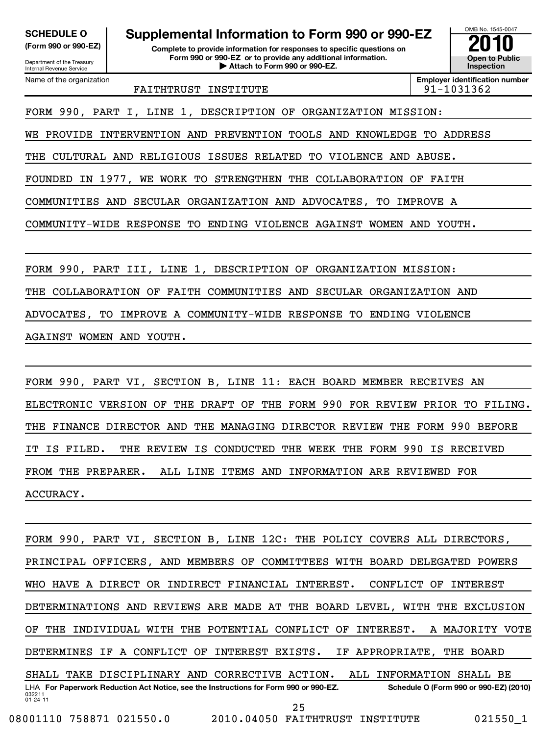Department of the Treasury Internal Revenue Service

**SCHEDULE O Supplemental Information to Form 990 or 990-EZ**<br> **Supplemental Information for responses to specific questions on**<br> **Experimental Screen to Public**<br> **Supplemental Screen to Public**<br> **Experimental Screen to Pu** 

**(Form 990 or 990-EZ) Complete to provide information for responses to specific questions on Form 990 or 990-EZ or to provide any additional information. | Attach to Form 990 or 990-EZ. Open to Public**

OMB No. 1545-0047 **Inspection**

**Employer identification number**

Name of the organization

FAITHTRUST INSTITUTE 191-1031362

FORM 990, PART I, LINE 1, DESCRIPTION OF ORGANIZATION MISSION:

WE PROVIDE INTERVENTION AND PREVENTION TOOLS AND KNOWLEDGE TO ADDRESS

THE CULTURAL AND RELIGIOUS ISSUES RELATED TO VIOLENCE AND ABUSE.

FOUNDED IN 1977, WE WORK TO STRENGTHEN THE COLLABORATION OF FAITH

COMMUNITIES AND SECULAR ORGANIZATION AND ADVOCATES, TO IMPROVE A

COMMUNITY-WIDE RESPONSE TO ENDING VIOLENCE AGAINST WOMEN AND YOUTH.

FORM 990, PART III, LINE 1, DESCRIPTION OF ORGANIZATION MISSION: THE COLLABORATION OF FAITH COMMUNITIES AND SECULAR ORGANIZATION AND ADVOCATES, TO IMPROVE A COMMUNITY-WIDE RESPONSE TO ENDING VIOLENCE AGAINST WOMEN AND YOUTH.

FORM 990, PART VI, SECTION B, LINE 11: EACH BOARD MEMBER RECEIVES AN ELECTRONIC VERSION OF THE DRAFT OF THE FORM 990 FOR REVIEW PRIOR TO FILING. THE FINANCE DIRECTOR AND THE MANAGING DIRECTOR REVIEW THE FORM 990 BEFORE IT IS FILED. THE REVIEW IS CONDUCTED THE WEEK THE FORM 990 IS RECEIVED FROM THE PREPARER. ALL LINE ITEMS AND INFORMATION ARE REVIEWED FOR ACCURACY.

032211 01-24-11 LHA For Paperwork Reduction Act Notice, see the Instructions for Form 990 or 990-EZ. Schedule O (Form 990 or 990-EZ) (2010) FORM 990, PART VI, SECTION B, LINE 12C: THE POLICY COVERS ALL DIRECTORS, PRINCIPAL OFFICERS, AND MEMBERS OF COMMITTEES WITH BOARD DELEGATED POWERS WHO HAVE A DIRECT OR INDIRECT FINANCIAL INTEREST. CONFLICT OF INTEREST DETERMINATIONS AND REVIEWS ARE MADE AT THE BOARD LEVEL, WITH THE EXCLUSION OF THE INDIVIDUAL WITH THE POTENTIAL CONFLICT OF INTEREST. A MAJORITY VOTE DETERMINES IF A CONFLICT OF INTEREST EXISTS. IF APPROPRIATE, THE BOARD SHALL TAKE DISCIPLINARY AND CORRECTIVE ACTION. ALL INFORMATION SHALL BE 25